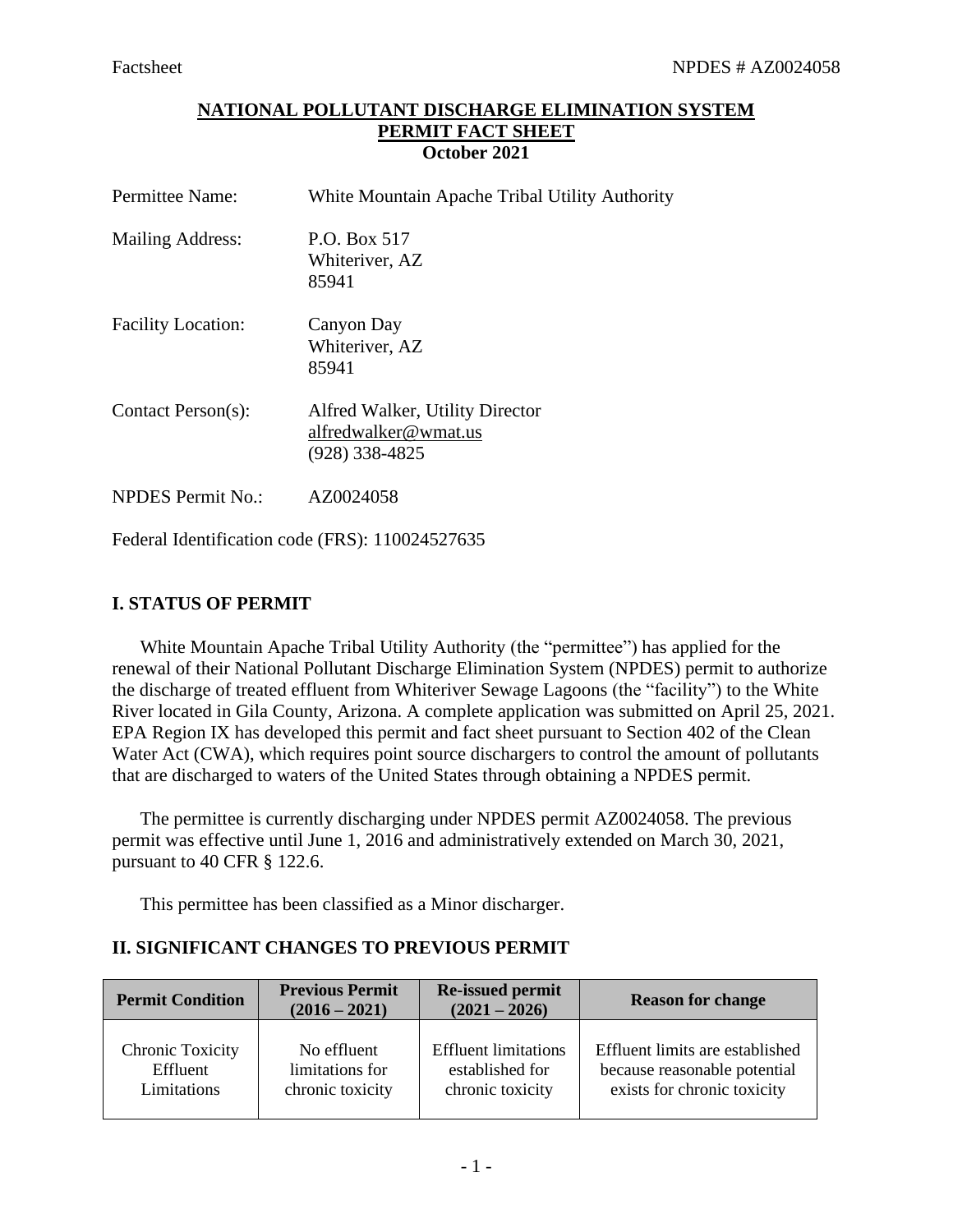## **NATIONAL POLLUTANT DISCHARGE ELIMINATION SYSTEM PERMIT FACT SHEET October 2021**

| Permittee Name:           | White Mountain Apache Tribal Utility Authority                              |
|---------------------------|-----------------------------------------------------------------------------|
| <b>Mailing Address:</b>   | P.O. Box 517<br>Whiteriver, AZ<br>85941                                     |
| <b>Facility Location:</b> | Canyon Day<br>Whiteriver, AZ<br>85941                                       |
| Contact Person(s):        | Alfred Walker, Utility Director<br>alfredwalker@wmat.us<br>$(928)$ 338-4825 |
| <b>NPDES</b> Permit No.:  | AZ0024058                                                                   |

Federal Identification code (FRS): 110024527635

# **I. STATUS OF PERMIT**

White Mountain Apache Tribal Utility Authority (the "permittee") has applied for the renewal of their National Pollutant Discharge Elimination System (NPDES) permit to authorize the discharge of treated effluent from Whiteriver Sewage Lagoons (the "facility") to the White River located in Gila County, Arizona. A complete application was submitted on April 25, 2021. EPA Region IX has developed this permit and fact sheet pursuant to Section 402 of the Clean Water Act (CWA), which requires point source dischargers to control the amount of pollutants that are discharged to waters of the United States through obtaining a NPDES permit.

The permittee is currently discharging under NPDES permit AZ0024058. The previous permit was effective until June 1, 2016 and administratively extended on March 30, 2021, pursuant to 40 CFR § 122.6.

This permittee has been classified as a Minor discharger.

# **II. SIGNIFICANT CHANGES TO PREVIOUS PERMIT**

| <b>Permit Condition</b> | <b>Previous Permit</b><br>$(2016 - 2021)$ | <b>Re-issued permit</b><br>$(2021 - 2026)$ | <b>Reason for change</b>        |  |
|-------------------------|-------------------------------------------|--------------------------------------------|---------------------------------|--|
| Chronic Toxicity        | No effluent                               | <b>Effluent limitations</b>                | Effluent limits are established |  |
| Effluent                | limitations for                           | established for                            | because reasonable potential    |  |
| Limitations             | chronic toxicity                          | chronic toxicity                           | exists for chronic toxicity     |  |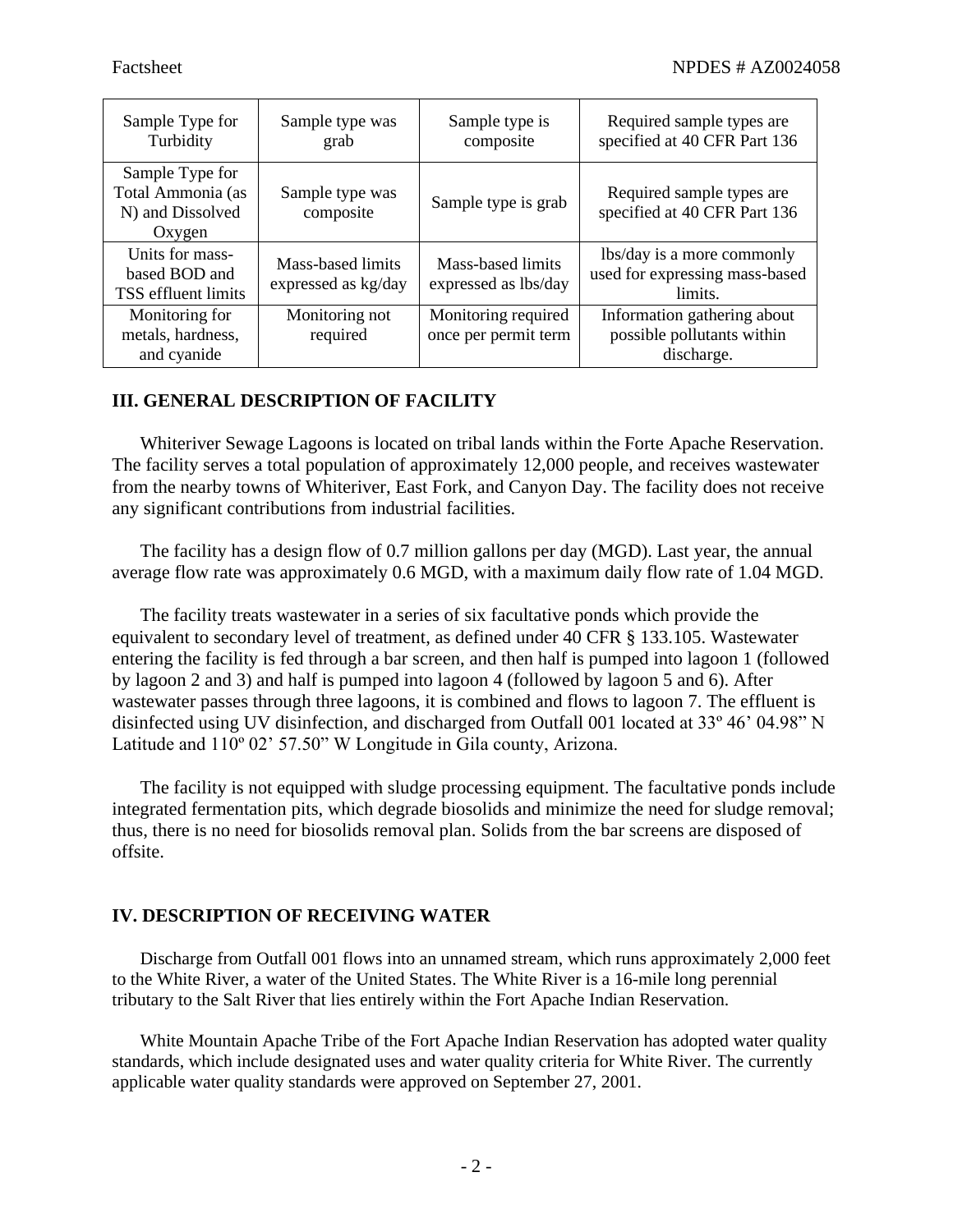| Sample Type for<br>Turbidity                                       | Sample type was<br>grab                  | Sample type is<br>composite                 | Required sample types are<br>specified at 40 CFR Part 136               |
|--------------------------------------------------------------------|------------------------------------------|---------------------------------------------|-------------------------------------------------------------------------|
| Sample Type for<br>Total Ammonia (as<br>N) and Dissolved<br>Oxygen | Sample type was<br>composite             | Sample type is grab                         | Required sample types are<br>specified at 40 CFR Part 136               |
| Units for mass-<br>based BOD and<br>TSS effluent limits            | Mass-based limits<br>expressed as kg/day | Mass-based limits<br>expressed as lbs/day   | lbs/day is a more commonly<br>used for expressing mass-based<br>limits. |
| Monitoring for<br>metals, hardness,<br>and cyanide                 | Monitoring not<br>required               | Monitoring required<br>once per permit term | Information gathering about<br>possible pollutants within<br>discharge. |

## **III. GENERAL DESCRIPTION OF FACILITY**

Whiteriver Sewage Lagoons is located on tribal lands within the Forte Apache Reservation. The facility serves a total population of approximately 12,000 people, and receives wastewater from the nearby towns of Whiteriver, East Fork, and Canyon Day. The facility does not receive any significant contributions from industrial facilities.

The facility has a design flow of 0.7 million gallons per day (MGD). Last year, the annual average flow rate was approximately 0.6 MGD, with a maximum daily flow rate of 1.04 MGD.

The facility treats wastewater in a series of six facultative ponds which provide the equivalent to secondary level of treatment, as defined under 40 CFR § 133.105. Wastewater entering the facility is fed through a bar screen, and then half is pumped into lagoon 1 (followed by lagoon 2 and 3) and half is pumped into lagoon 4 (followed by lagoon 5 and 6). After wastewater passes through three lagoons, it is combined and flows to lagoon 7. The effluent is disinfected using UV disinfection, and discharged from Outfall 001 located at 33º 46' 04.98" N Latitude and 110º 02' 57.50" W Longitude in Gila county, Arizona.

The facility is not equipped with sludge processing equipment. The facultative ponds include integrated fermentation pits, which degrade biosolids and minimize the need for sludge removal; thus, there is no need for biosolids removal plan. Solids from the bar screens are disposed of offsite.

# **IV. DESCRIPTION OF RECEIVING WATER**

Discharge from Outfall 001 flows into an unnamed stream, which runs approximately 2,000 feet to the White River, a water of the United States. The White River is a 16-mile long perennial tributary to the Salt River that lies entirely within the Fort Apache Indian Reservation.

White Mountain Apache Tribe of the Fort Apache Indian Reservation has adopted water quality standards, which include designated uses and water quality criteria for White River. The currently applicable water quality standards were approved on September 27, 2001.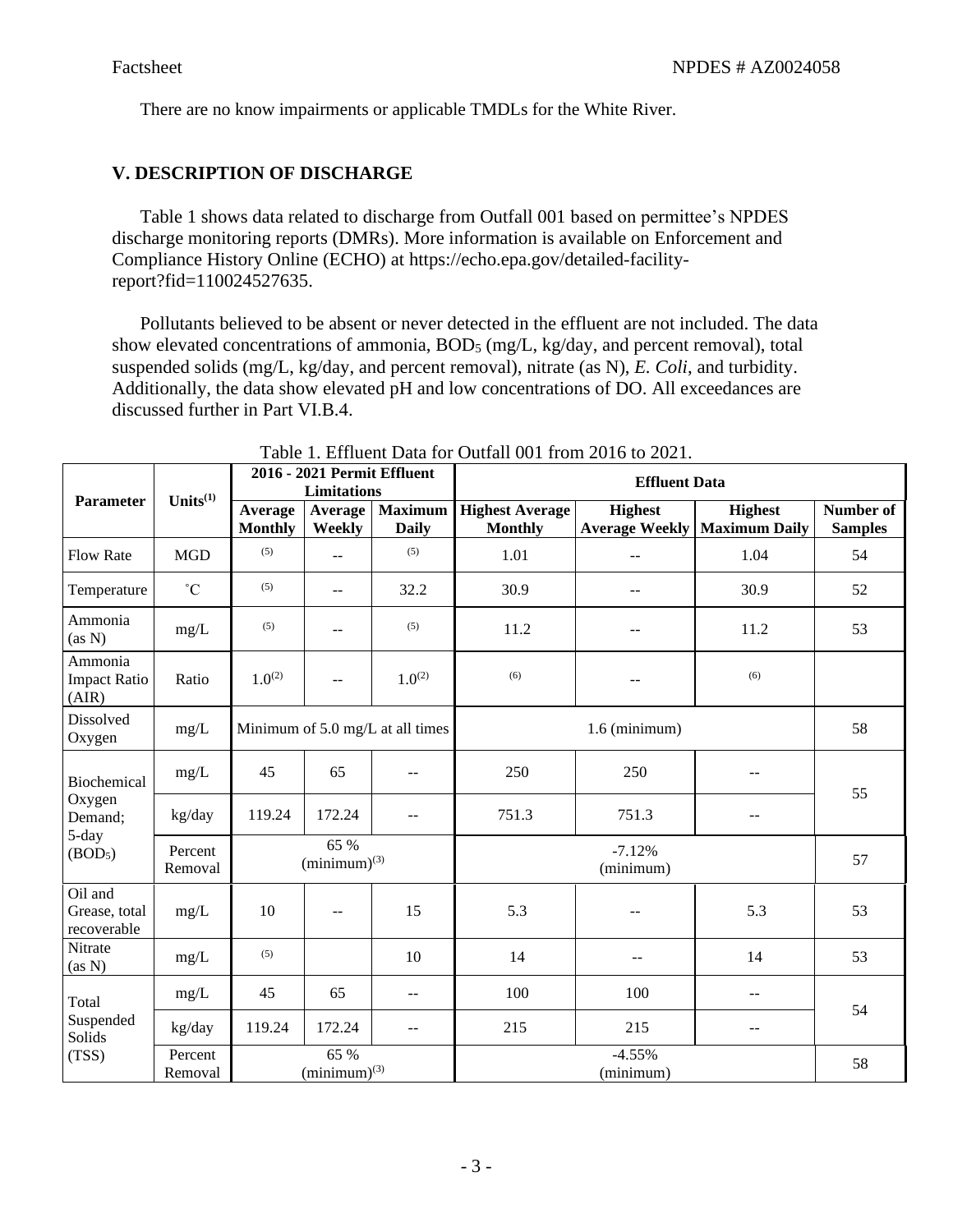There are no know impairments or applicable TMDLs for the White River.

# **V. DESCRIPTION OF DISCHARGE**

Table 1 shows data related to discharge from Outfall 001 based on permittee's NPDES discharge monitoring reports (DMRs). More information is available on Enforcement and Compliance History Online (ECHO) at https://echo.epa.gov/detailed-facilityreport?fid=110024527635.

Pollutants believed to be absent or never detected in the effluent are not included. The data show elevated concentrations of ammonia, BOD<sub>5</sub> (mg/L, kg/day, and percent removal), total suspended solids (mg/L, kg/day, and percent removal), nitrate (as N), *E. Coli*, and turbidity. Additionally, the data show elevated pH and low concentrations of DO. All exceedances are discussed further in Part VI.B.4.

| <b>Parameter</b>                        | Units $(1)$        | 2016 - 2021 Permit Effluent<br>Limitations                |                           |                                  | <b>Effluent Data</b>                     |                       |                                                         |                             |
|-----------------------------------------|--------------------|-----------------------------------------------------------|---------------------------|----------------------------------|------------------------------------------|-----------------------|---------------------------------------------------------|-----------------------------|
|                                         |                    | Average<br><b>Monthly</b>                                 | Average<br>Weekly         | <b>Maximum</b><br><b>Daily</b>   | <b>Highest Average</b><br><b>Monthly</b> | <b>Highest</b>        | <b>Highest</b><br><b>Average Weekly   Maximum Daily</b> | Number of<br><b>Samples</b> |
| <b>Flow Rate</b>                        | <b>MGD</b>         | (5)                                                       | $\overline{a}$            | (5)                              | 1.01                                     | $-$                   | 1.04                                                    | 54                          |
| Temperature                             | $\rm ^{\circ}C$    | (5)                                                       | $-$                       | 32.2                             | 30.9                                     | --                    | 30.9                                                    | 52                          |
| Ammonia<br>(as N)                       | mg/L               | (5)                                                       | $-$                       | (5)                              | 11.2                                     | $-$                   | 11.2                                                    | 53                          |
| Ammonia<br><b>Impact Ratio</b><br>(AIR) | Ratio              | $1.0^{(2)}$                                               | $-$                       | $1.0^{(2)}$                      | (6)                                      | --                    | (6)                                                     |                             |
| Dissolved<br>Oxygen                     | mg/L               |                                                           |                           | Minimum of 5.0 mg/L at all times | $1.6$ (minimum)                          |                       |                                                         | 58                          |
| Biochemical                             | mg/L               | 45                                                        | 65                        | --                               | 250                                      | 250                   | --                                                      | 55                          |
| Oxygen<br>Demand;                       | kg/day             | 119.24                                                    | 172.24                    | $-$                              | 751.3                                    | 751.3                 | $- -$                                                   |                             |
| 5-day<br>(BOD <sub>5</sub> )            | Percent<br>Removal | 65 %<br>$-7.12%$<br>$(\text{minimum})^{(3)}$<br>(minimum) |                           |                                  |                                          | 57                    |                                                         |                             |
| Oil and<br>Grease, total<br>recoverable | mg/L               | 10                                                        | --                        | 15                               | 5.3                                      |                       | 5.3                                                     | 53                          |
| Nitrate<br>(as N)                       | mg/L               | (5)                                                       |                           | 10                               | 14                                       |                       | 14                                                      | 53                          |
| Total                                   | mg/L               | 45                                                        | 65                        | $\mathbf{u}$                     | 100                                      | 100                   | $- -$                                                   | 54                          |
| Suspended<br>Solids                     | kg/day             | 119.24                                                    | 172.24                    | $\qquad \qquad -$                | 215                                      | 215                   | $- -$                                                   |                             |
| (TSS)                                   | Percent<br>Removal |                                                           | 65 %<br>$(minimum)^{(3)}$ |                                  |                                          | $-4.55%$<br>(minimum) |                                                         | 58                          |

Table 1. Effluent Data for Outfall 001 from 2016 to 2021.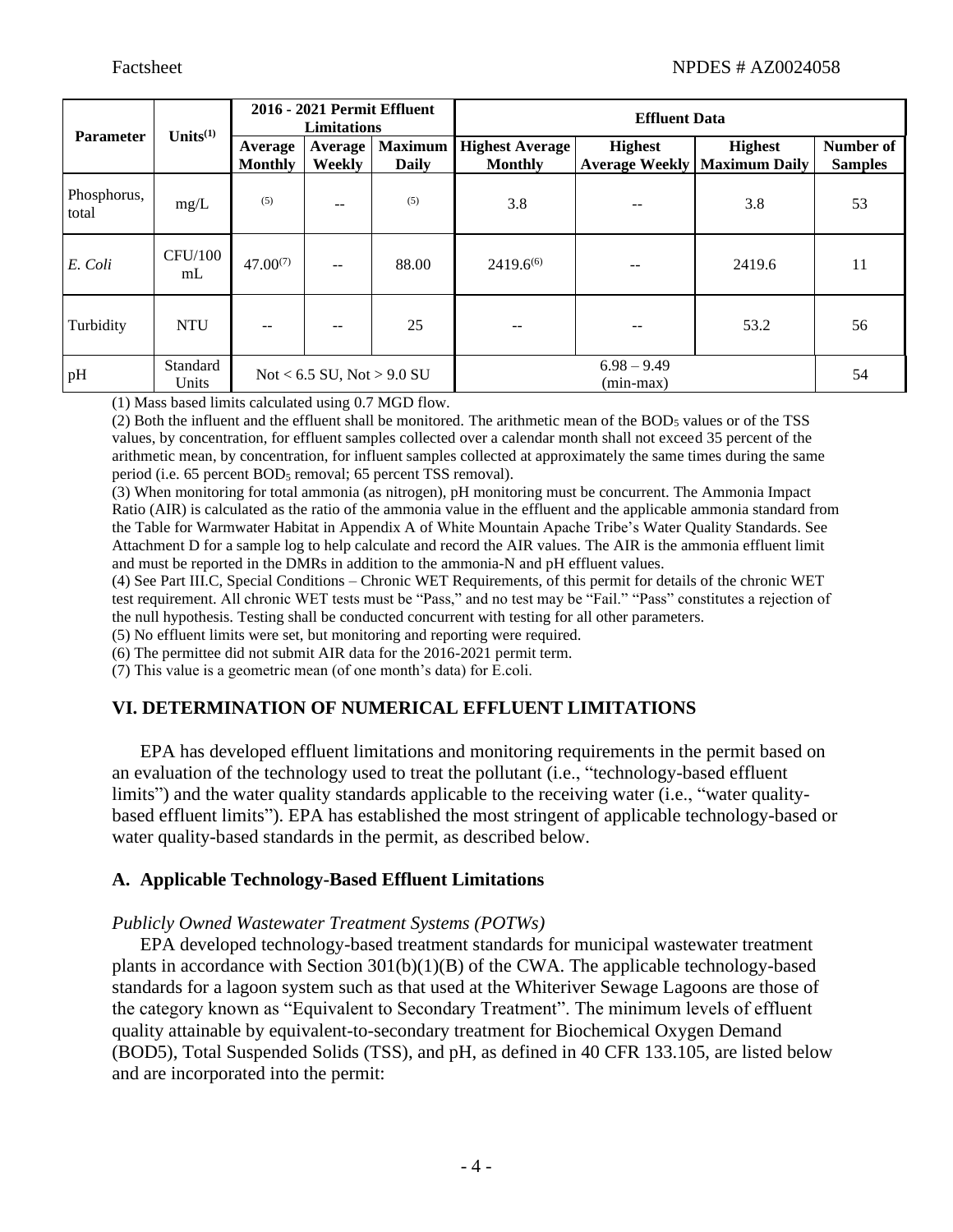|                      | Units $(1)$          | 2016 - 2021 Permit Effluent<br><b>Limitations</b> |                                |                                | <b>Effluent Data</b>                     |                                         |                                        |                             |
|----------------------|----------------------|---------------------------------------------------|--------------------------------|--------------------------------|------------------------------------------|-----------------------------------------|----------------------------------------|-----------------------------|
| <b>Parameter</b>     |                      | Average<br><b>Monthly</b>                         | Average<br>Weekly              | <b>Maximum</b><br><b>Daily</b> | <b>Highest Average</b><br><b>Monthly</b> | <b>Highest</b><br><b>Average Weekly</b> | <b>Highest</b><br><b>Maximum Daily</b> | Number of<br><b>Samples</b> |
| Phosphorus,<br>total | mg/L                 | (5)                                               | $-$                            | (5)                            | 3.8                                      |                                         | 3.8                                    | 53                          |
| E. Coli              | <b>CFU/100</b><br>mL | $47.00^{(7)}$                                     | $\qquad \qquad -$              | 88.00                          | $2419.6^{(6)}$                           | $- -$                                   | 2419.6                                 | 11                          |
| Turbidity            | <b>NTU</b>           | $- -$                                             | $-$                            | 25                             | --                                       | $- -$                                   | 53.2                                   | 56                          |
| pH                   | Standard<br>Units    |                                                   | Not < $6.5$ SU, Not > $9.0$ SU |                                | $6.98 - 9.49$<br>54<br>$(min-max)$       |                                         |                                        |                             |

(1) Mass based limits calculated using 0.7 MGD flow.

(2) Both the influent and the effluent shall be monitored. The arithmetic mean of the  $BOD<sub>5</sub>$  values or of the TSS values, by concentration, for effluent samples collected over a calendar month shall not exceed 35 percent of the arithmetic mean, by concentration, for influent samples collected at approximately the same times during the same period (i.e. 65 percent BOD<sub>5</sub> removal; 65 percent TSS removal).

(3) When monitoring for total ammonia (as nitrogen), pH monitoring must be concurrent. The Ammonia Impact Ratio (AIR) is calculated as the ratio of the ammonia value in the effluent and the applicable ammonia standard from the Table for Warmwater Habitat in Appendix A of White Mountain Apache Tribe's Water Quality Standards. See Attachment D for a sample log to help calculate and record the AIR values. The AIR is the ammonia effluent limit and must be reported in the DMRs in addition to the ammonia-N and pH effluent values.

(4) See Part III.C, Special Conditions – Chronic WET Requirements, of this permit for details of the chronic WET test requirement. All chronic WET tests must be "Pass," and no test may be "Fail." "Pass" constitutes a rejection of the null hypothesis. Testing shall be conducted concurrent with testing for all other parameters.

(5) No effluent limits were set, but monitoring and reporting were required.

(6) The permittee did not submit AIR data for the 2016-2021 permit term.

(7) This value is a geometric mean (of one month's data) for E.coli.

# **VI. DETERMINATION OF NUMERICAL EFFLUENT LIMITATIONS**

EPA has developed effluent limitations and monitoring requirements in the permit based on an evaluation of the technology used to treat the pollutant (i.e., "technology-based effluent limits") and the water quality standards applicable to the receiving water (i.e., "water qualitybased effluent limits"). EPA has established the most stringent of applicable technology-based or water quality-based standards in the permit, as described below.

#### **A. Applicable Technology-Based Effluent Limitations**

#### *Publicly Owned Wastewater Treatment Systems (POTWs)*

EPA developed technology-based treatment standards for municipal wastewater treatment plants in accordance with Section 301(b)(1)(B) of the CWA. The applicable technology-based standards for a lagoon system such as that used at the Whiteriver Sewage Lagoons are those of the category known as "Equivalent to Secondary Treatment". The minimum levels of effluent quality attainable by equivalent-to-secondary treatment for Biochemical Oxygen Demand (BOD5), Total Suspended Solids (TSS), and pH, as defined in 40 CFR 133.105, are listed below and are incorporated into the permit: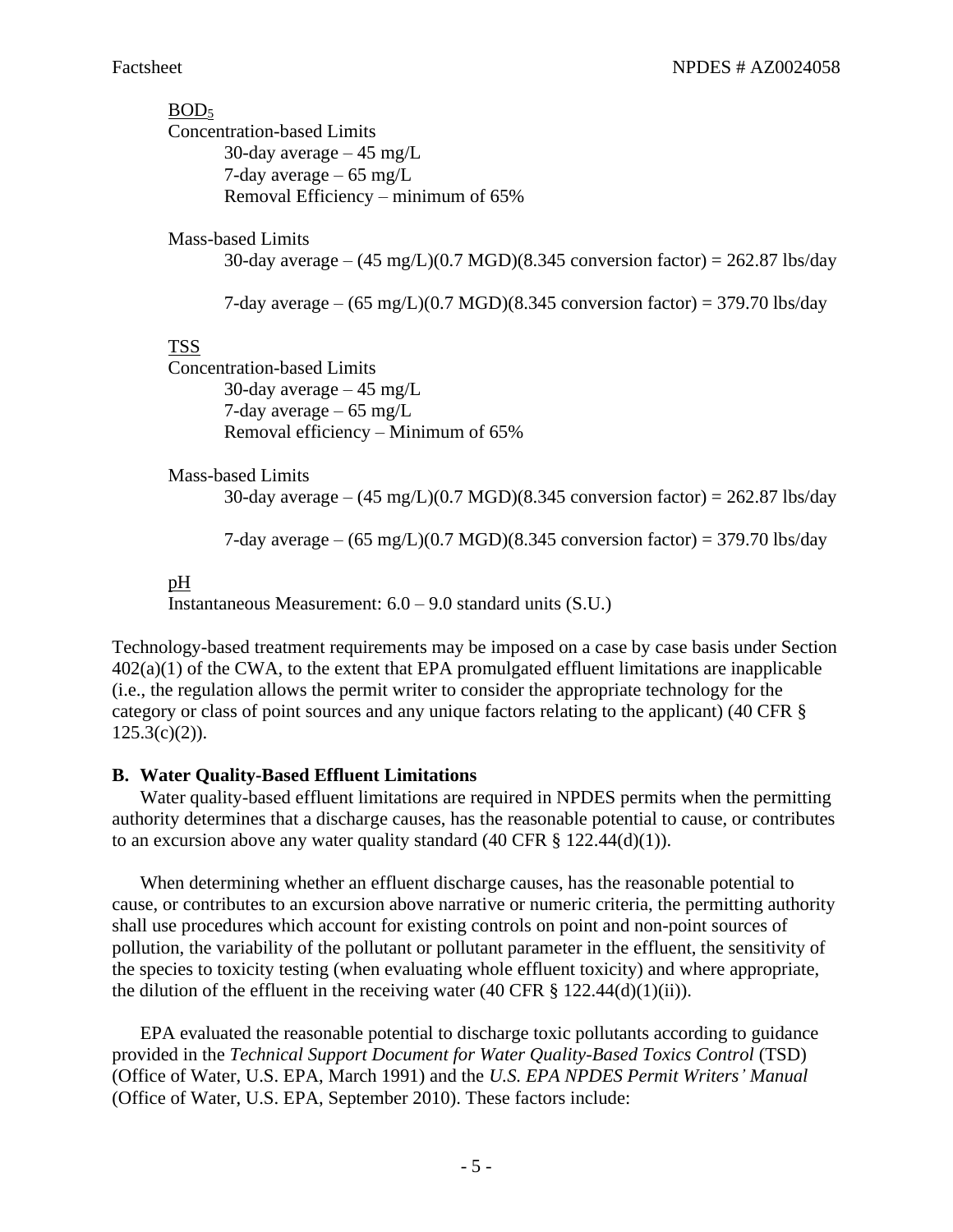# $BOD<sub>5</sub>$

Concentration-based Limits 30-day average  $-45$  mg/L 7-day average – 65 mg/L Removal Efficiency – minimum of 65%

Mass-based Limits

30-day average –  $(45 \text{ mg/L})(0.7 \text{ MGD})(8.345 \text{ conversion factor}) = 262.87 \text{ lbs/day}$ 

7-day average –  $(65 \text{ mg/L})(0.7 \text{ MGD})(8.345 \text{ conversion factor}) = 379.70 \text{ lbs/day}$ 

## TSS

Concentration-based Limits 30-day average  $-45$  mg/L 7-day average – 65 mg/L Removal efficiency – Minimum of 65%

Mass-based Limits

30-day average –  $(45 \text{ mg/L})(0.7 \text{ MGD})(8.345 \text{ conversion factor}) = 262.87 \text{ lbs/day}$ 

7-day average –  $(65 \text{ mg/L})(0.7 \text{ MGD})(8.345 \text{ conversion factor}) = 379.70 \text{ lbs/day}$ 

## pH

Instantaneous Measurement: 6.0 – 9.0 standard units (S.U.)

Technology-based treatment requirements may be imposed on a case by case basis under Section  $402(a)(1)$  of the CWA, to the extent that EPA promulgated effluent limitations are inapplicable (i.e., the regulation allows the permit writer to consider the appropriate technology for the category or class of point sources and any unique factors relating to the applicant) (40 CFR §  $125.3(c)(2)$ ).

#### **B. Water Quality-Based Effluent Limitations**

Water quality-based effluent limitations are required in NPDES permits when the permitting authority determines that a discharge causes, has the reasonable potential to cause, or contributes to an excursion above any water quality standard  $(40 \text{ CFR } \text{\&} 122.44(d)(1)).$ 

When determining whether an effluent discharge causes, has the reasonable potential to cause, or contributes to an excursion above narrative or numeric criteria, the permitting authority shall use procedures which account for existing controls on point and non-point sources of pollution, the variability of the pollutant or pollutant parameter in the effluent, the sensitivity of the species to toxicity testing (when evaluating whole effluent toxicity) and where appropriate, the dilution of the effluent in the receiving water  $(40 \text{ CFR } \S~122.44(d)(1)(ii))$ .

EPA evaluated the reasonable potential to discharge toxic pollutants according to guidance provided in the *Technical Support Document for Water Quality-Based Toxics Control* (TSD) (Office of Water, U.S. EPA, March 1991) and the *U.S. EPA NPDES Permit Writers' Manual* (Office of Water, U.S. EPA, September 2010). These factors include: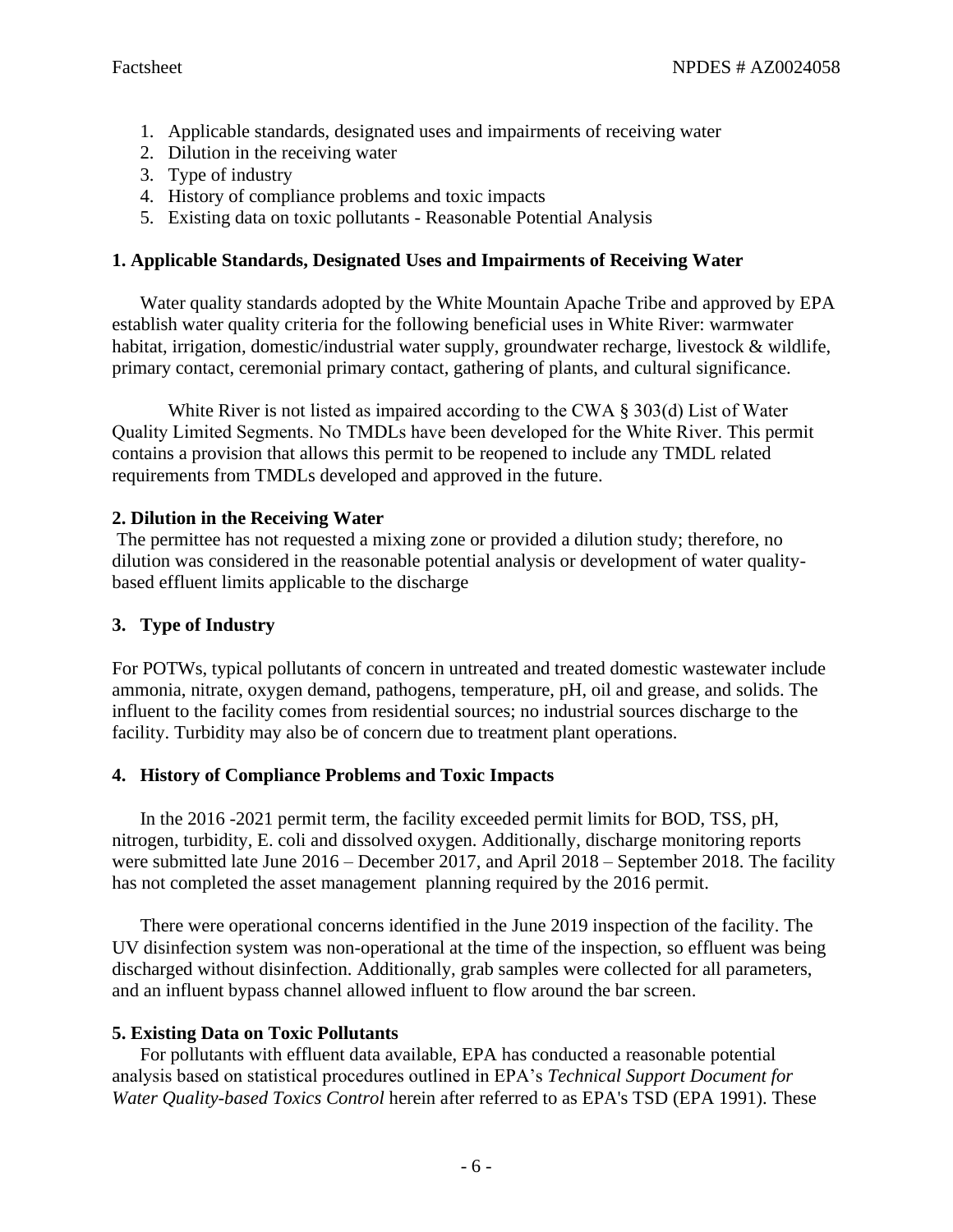- 1. Applicable standards, designated uses and impairments of receiving water
- 2. Dilution in the receiving water
- 3. Type of industry
- 4. History of compliance problems and toxic impacts
- 5. Existing data on toxic pollutants Reasonable Potential Analysis

# **1. Applicable Standards, Designated Uses and Impairments of Receiving Water**

Water quality standards adopted by the White Mountain Apache Tribe and approved by EPA establish water quality criteria for the following beneficial uses in White River: warmwater habitat, irrigation, domestic/industrial water supply, groundwater recharge, livestock & wildlife, primary contact, ceremonial primary contact, gathering of plants, and cultural significance.

White River is not listed as impaired according to the CWA § 303(d) List of Water Quality Limited Segments. No TMDLs have been developed for the White River. This permit contains a provision that allows this permit to be reopened to include any TMDL related requirements from TMDLs developed and approved in the future.

# **2. Dilution in the Receiving Water**

The permittee has not requested a mixing zone or provided a dilution study; therefore, no dilution was considered in the reasonable potential analysis or development of water qualitybased effluent limits applicable to the discharge

# **3. Type of Industry**

For POTWs, typical pollutants of concern in untreated and treated domestic wastewater include ammonia, nitrate, oxygen demand, pathogens, temperature, pH, oil and grease, and solids. The influent to the facility comes from residential sources; no industrial sources discharge to the facility. Turbidity may also be of concern due to treatment plant operations.

# **4. History of Compliance Problems and Toxic Impacts**

In the 2016 -2021 permit term, the facility exceeded permit limits for BOD, TSS, pH, nitrogen, turbidity, E. coli and dissolved oxygen. Additionally, discharge monitoring reports were submitted late June 2016 – December 2017, and April 2018 – September 2018. The facility has not completed the asset management planning required by the 2016 permit.

There were operational concerns identified in the June 2019 inspection of the facility. The UV disinfection system was non-operational at the time of the inspection, so effluent was being discharged without disinfection. Additionally, grab samples were collected for all parameters, and an influent bypass channel allowed influent to flow around the bar screen.

# **5. Existing Data on Toxic Pollutants**

For pollutants with effluent data available, EPA has conducted a reasonable potential analysis based on statistical procedures outlined in EPA's *Technical Support Document for Water Quality-based Toxics Control* herein after referred to as EPA's TSD (EPA 1991). These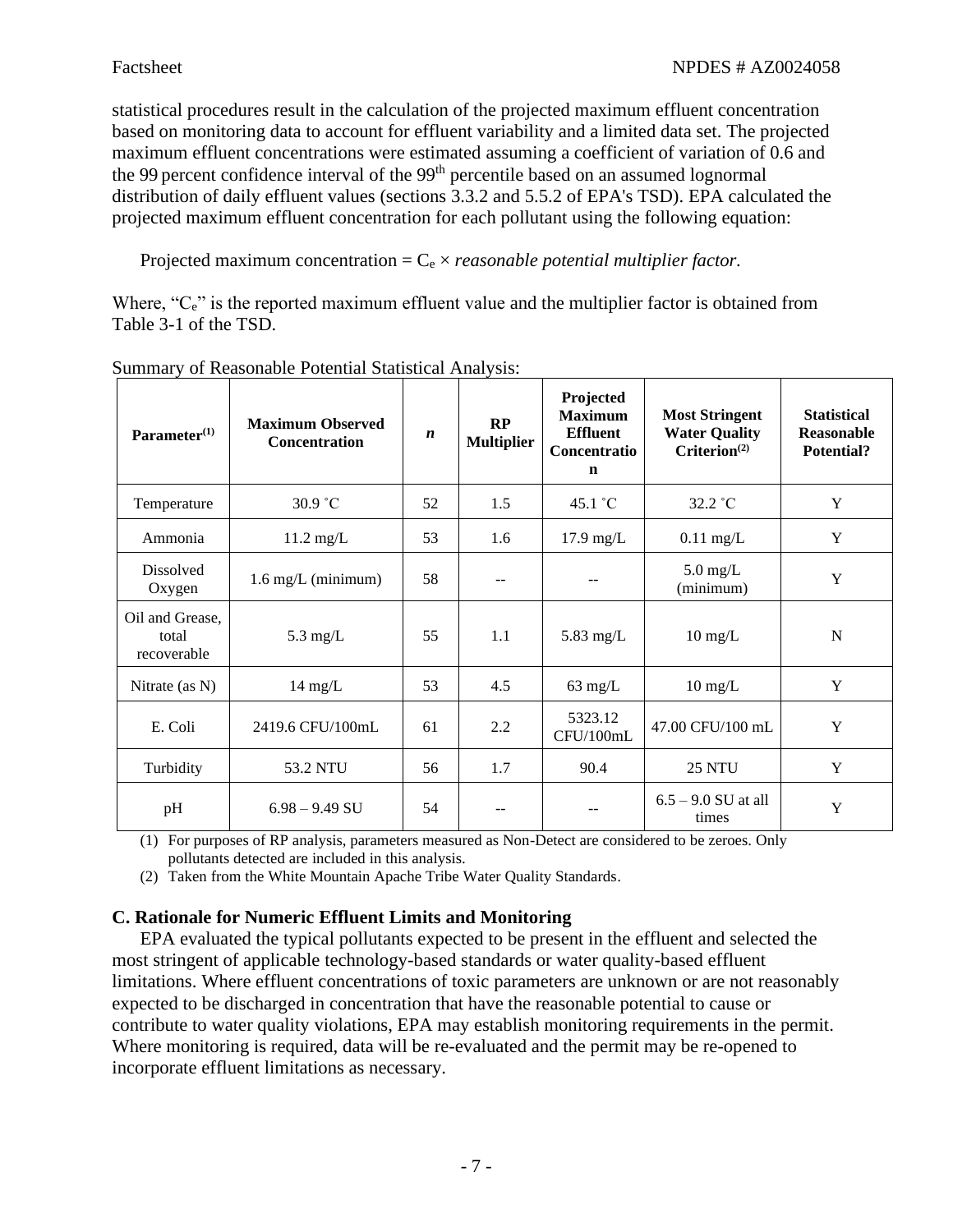statistical procedures result in the calculation of the projected maximum effluent concentration based on monitoring data to account for effluent variability and a limited data set. The projected maximum effluent concentrations were estimated assuming a coefficient of variation of 0.6 and the 99 percent confidence interval of the 99<sup>th</sup> percentile based on an assumed lognormal distribution of daily effluent values (sections 3.3.2 and 5.5.2 of EPA's TSD). EPA calculated the projected maximum effluent concentration for each pollutant using the following equation:

Projected maximum concentration  $=C_e \times reasonable$  *potential multiplier factor.* 

Where, "C<sub>e</sub>" is the reported maximum effluent value and the multiplier factor is obtained from Table 3-1 of the TSD.

| Parameter <sup>(1)</sup>                | <b>Maximum Observed</b><br><b>Concentration</b> | $\boldsymbol{n}$ | RP<br><b>Multiplier</b> | Projected<br><b>Maximum</b><br><b>Effluent</b><br>Concentratio<br>$\mathbf n$ | <b>Most Stringent</b><br><b>Water Quality</b><br>$Criterion^{(2)}$ | <b>Statistical</b><br>Reasonable<br>Potential? |
|-----------------------------------------|-------------------------------------------------|------------------|-------------------------|-------------------------------------------------------------------------------|--------------------------------------------------------------------|------------------------------------------------|
| Temperature                             | 30.9 °C                                         | 52               | 1.5                     | $45.1 \degree C$                                                              | $32.2 \degree C$                                                   | Y                                              |
| Ammonia                                 | $11.2 \text{ mg/L}$                             | 53               | 1.6                     | $17.9 \text{ mg/L}$                                                           | $0.11$ mg/L                                                        | Y                                              |
| Dissolved<br>Oxygen                     | $1.6 \text{ mg/L}$ (minimum)                    | 58               |                         |                                                                               | $5.0 \text{ mg/L}$<br>(minimum)                                    | Y                                              |
| Oil and Grease,<br>total<br>recoverable | $5.3 \text{ mg/L}$                              | 55               | 1.1                     | 5.83 mg/ $L$                                                                  | $10 \text{ mg/L}$                                                  | N                                              |
| Nitrate (as N)                          | $14 \text{ mg/L}$                               | 53               | 4.5                     | $63 \text{ mg/L}$                                                             | $10 \text{ mg/L}$                                                  | Y                                              |
| E. Coli                                 | 2419.6 CFU/100mL                                | 61               | 2.2                     | 5323.12<br>CFU/100mL                                                          | 47.00 CFU/100 mL                                                   | Y                                              |
| Turbidity                               | 53.2 NTU                                        | 56               | 1.7                     | 90.4                                                                          | <b>25 NTU</b>                                                      | Y                                              |
| pH                                      | $6.98 - 9.49$ SU                                | 54               |                         |                                                                               | $6.5 - 9.0$ SU at all<br>times                                     | Y                                              |

Summary of Reasonable Potential Statistical Analysis:

(1) For purposes of RP analysis, parameters measured as Non-Detect are considered to be zeroes. Only pollutants detected are included in this analysis.

(2) Taken from the White Mountain Apache Tribe Water Quality Standards.

# **C. Rationale for Numeric Effluent Limits and Monitoring**

EPA evaluated the typical pollutants expected to be present in the effluent and selected the most stringent of applicable technology-based standards or water quality-based effluent limitations. Where effluent concentrations of toxic parameters are unknown or are not reasonably expected to be discharged in concentration that have the reasonable potential to cause or contribute to water quality violations, EPA may establish monitoring requirements in the permit. Where monitoring is required, data will be re-evaluated and the permit may be re-opened to incorporate effluent limitations as necessary.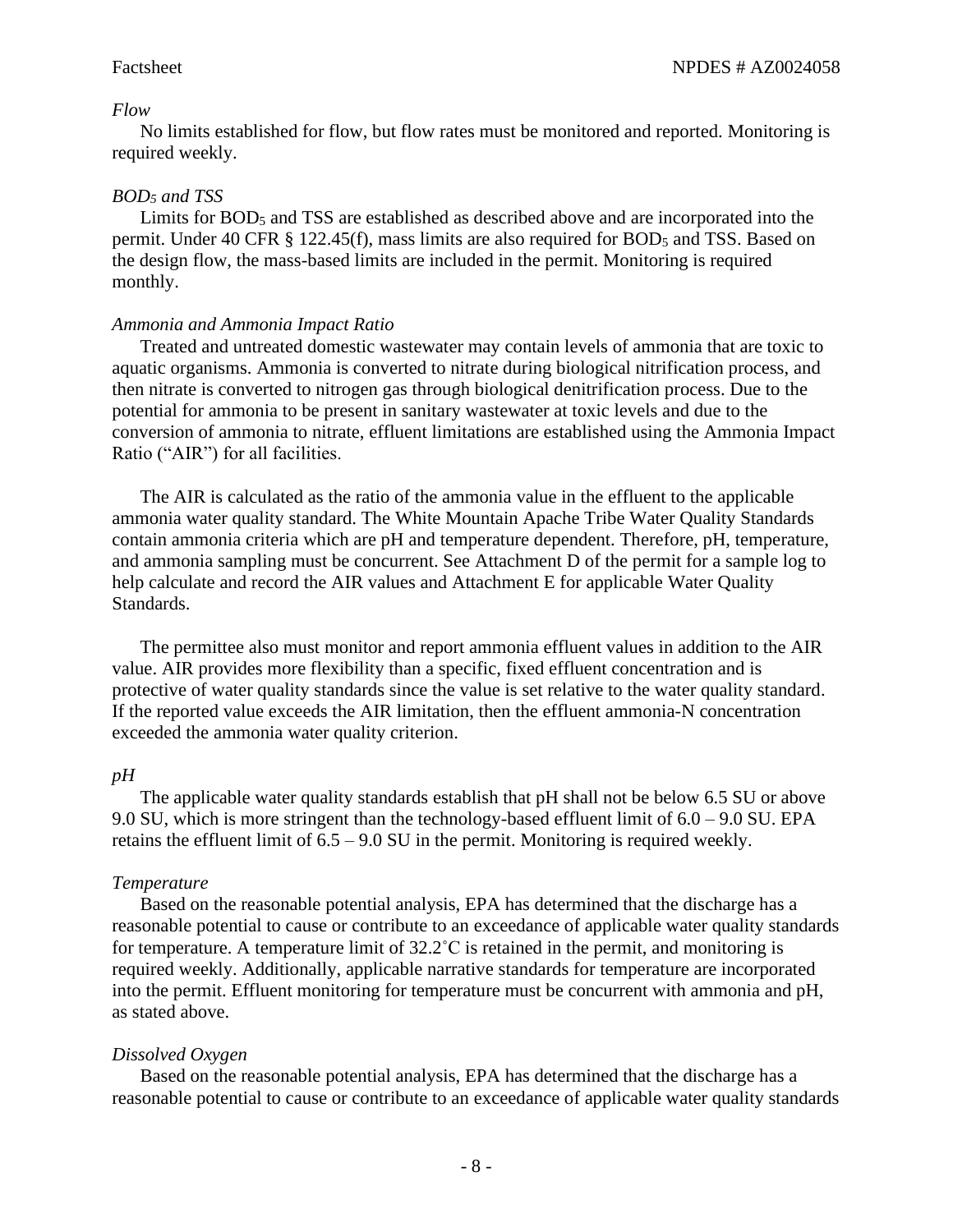#### *Flow*

No limits established for flow, but flow rates must be monitored and reported. Monitoring is required weekly.

## *BOD<sup>5</sup> and TSS*

Limits for  $BOD<sub>5</sub>$  and TSS are established as described above and are incorporated into the permit. Under 40 CFR § 122.45(f), mass limits are also required for BOD<sub>5</sub> and TSS. Based on the design flow, the mass-based limits are included in the permit. Monitoring is required monthly.

#### *Ammonia and Ammonia Impact Ratio*

Treated and untreated domestic wastewater may contain levels of ammonia that are toxic to aquatic organisms. Ammonia is converted to nitrate during biological nitrification process, and then nitrate is converted to nitrogen gas through biological denitrification process. Due to the potential for ammonia to be present in sanitary wastewater at toxic levels and due to the conversion of ammonia to nitrate, effluent limitations are established using the Ammonia Impact Ratio ("AIR") for all facilities.

The AIR is calculated as the ratio of the ammonia value in the effluent to the applicable ammonia water quality standard. The White Mountain Apache Tribe Water Quality Standards contain ammonia criteria which are pH and temperature dependent. Therefore, pH, temperature, and ammonia sampling must be concurrent. See Attachment D of the permit for a sample log to help calculate and record the AIR values and Attachment E for applicable Water Quality Standards.

The permittee also must monitor and report ammonia effluent values in addition to the AIR value. AIR provides more flexibility than a specific, fixed effluent concentration and is protective of water quality standards since the value is set relative to the water quality standard. If the reported value exceeds the AIR limitation, then the effluent ammonia-N concentration exceeded the ammonia water quality criterion.

#### *pH*

The applicable water quality standards establish that pH shall not be below 6.5 SU or above 9.0 SU, which is more stringent than the technology-based effluent limit of  $6.0 - 9.0$  SU. EPA retains the effluent limit of 6.5 – 9.0 SU in the permit. Monitoring is required weekly.

#### *Temperature*

Based on the reasonable potential analysis, EPA has determined that the discharge has a reasonable potential to cause or contribute to an exceedance of applicable water quality standards for temperature. A temperature limit of  $32.2^{\circ}$ C is retained in the permit, and monitoring is required weekly. Additionally, applicable narrative standards for temperature are incorporated into the permit. Effluent monitoring for temperature must be concurrent with ammonia and pH, as stated above.

#### *Dissolved Oxygen*

Based on the reasonable potential analysis, EPA has determined that the discharge has a reasonable potential to cause or contribute to an exceedance of applicable water quality standards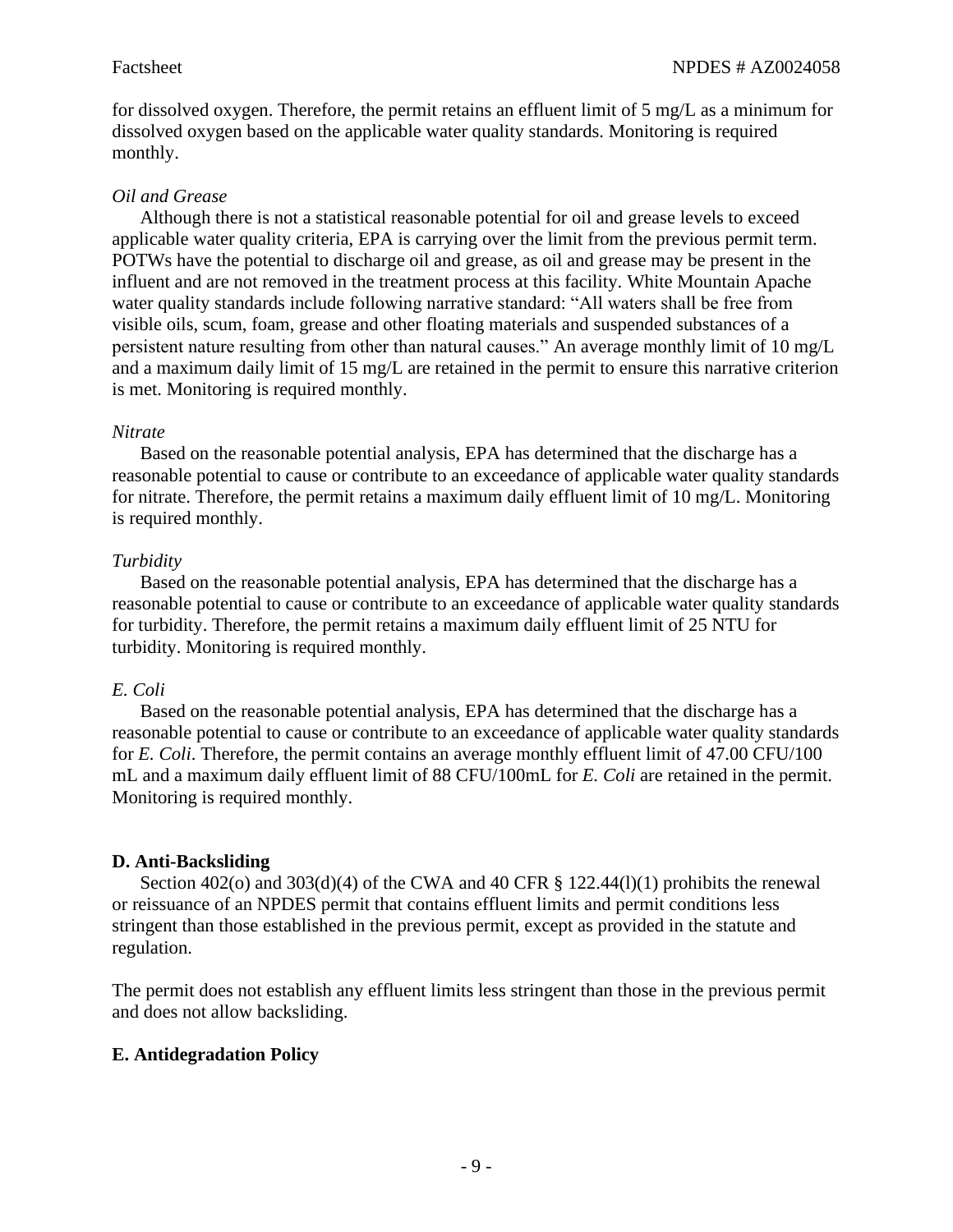for dissolved oxygen. Therefore, the permit retains an effluent limit of 5 mg/L as a minimum for dissolved oxygen based on the applicable water quality standards. Monitoring is required monthly.

# *Oil and Grease*

Although there is not a statistical reasonable potential for oil and grease levels to exceed applicable water quality criteria, EPA is carrying over the limit from the previous permit term. POTWs have the potential to discharge oil and grease, as oil and grease may be present in the influent and are not removed in the treatment process at this facility. White Mountain Apache water quality standards include following narrative standard: "All waters shall be free from visible oils, scum, foam, grease and other floating materials and suspended substances of a persistent nature resulting from other than natural causes." An average monthly limit of 10 mg/L and a maximum daily limit of 15 mg/L are retained in the permit to ensure this narrative criterion is met. Monitoring is required monthly.

# *Nitrate*

Based on the reasonable potential analysis, EPA has determined that the discharge has a reasonable potential to cause or contribute to an exceedance of applicable water quality standards for nitrate. Therefore, the permit retains a maximum daily effluent limit of 10 mg/L. Monitoring is required monthly.

# *Turbidity*

Based on the reasonable potential analysis, EPA has determined that the discharge has a reasonable potential to cause or contribute to an exceedance of applicable water quality standards for turbidity. Therefore, the permit retains a maximum daily effluent limit of 25 NTU for turbidity. Monitoring is required monthly.

# *E. Coli*

Based on the reasonable potential analysis, EPA has determined that the discharge has a reasonable potential to cause or contribute to an exceedance of applicable water quality standards for *E. Coli*. Therefore, the permit contains an average monthly effluent limit of 47.00 CFU/100 mL and a maximum daily effluent limit of 88 CFU/100mL for *E. Coli* are retained in the permit. Monitoring is required monthly.

# **D. Anti-Backsliding**

Section 402(o) and 303(d)(4) of the CWA and 40 CFR  $\S$  122.44(l)(1) prohibits the renewal or reissuance of an NPDES permit that contains effluent limits and permit conditions less stringent than those established in the previous permit, except as provided in the statute and regulation.

The permit does not establish any effluent limits less stringent than those in the previous permit and does not allow backsliding.

# **E. Antidegradation Policy**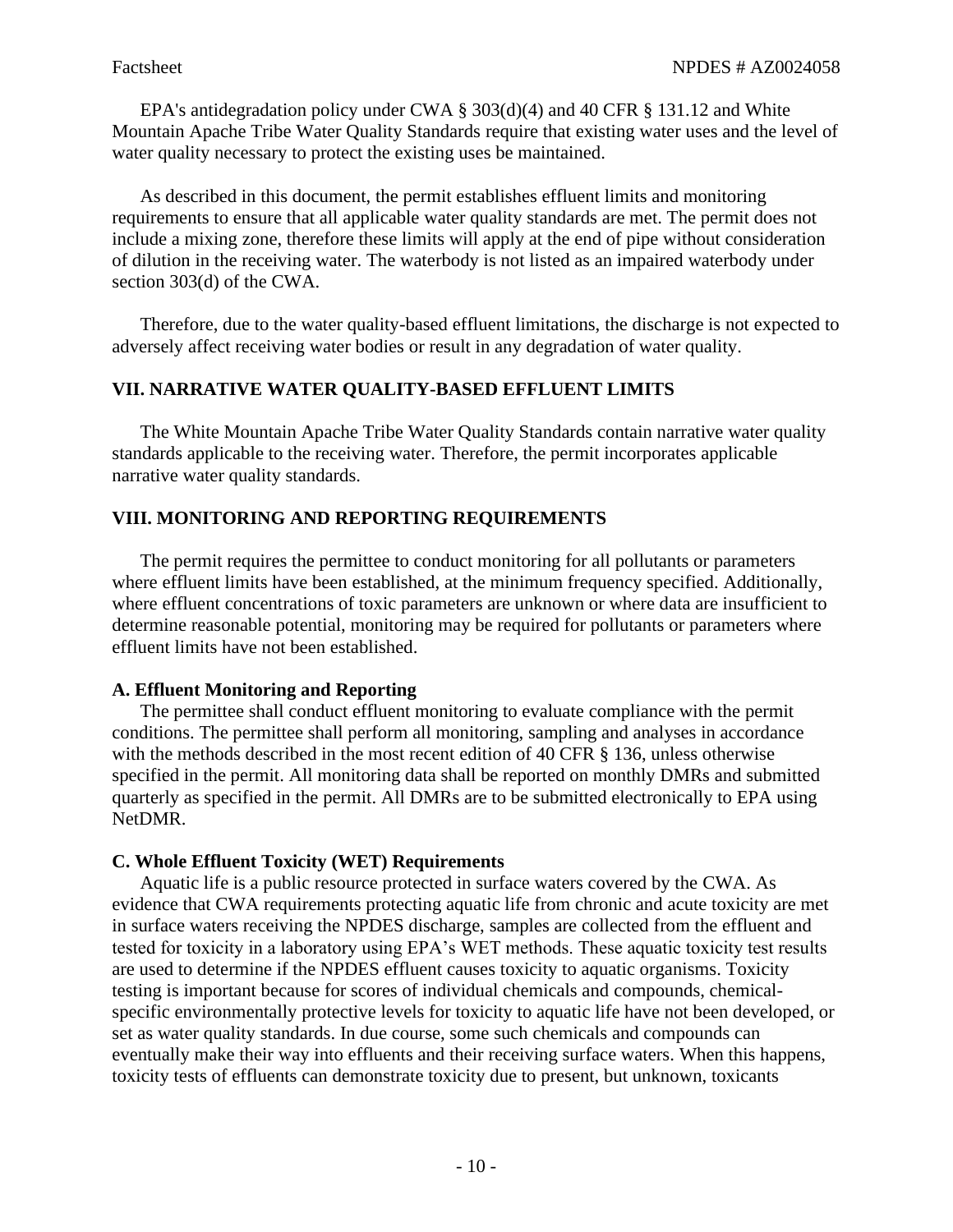EPA's antidegradation policy under CWA § 303(d)(4) and 40 CFR § 131.12 and White Mountain Apache Tribe Water Quality Standards require that existing water uses and the level of water quality necessary to protect the existing uses be maintained.

As described in this document, the permit establishes effluent limits and monitoring requirements to ensure that all applicable water quality standards are met. The permit does not include a mixing zone, therefore these limits will apply at the end of pipe without consideration of dilution in the receiving water. The waterbody is not listed as an impaired waterbody under section 303(d) of the CWA.

Therefore, due to the water quality-based effluent limitations, the discharge is not expected to adversely affect receiving water bodies or result in any degradation of water quality.

# **VII. NARRATIVE WATER QUALITY-BASED EFFLUENT LIMITS**

The White Mountain Apache Tribe Water Quality Standards contain narrative water quality standards applicable to the receiving water. Therefore, the permit incorporates applicable narrative water quality standards.

# **VIII. MONITORING AND REPORTING REQUIREMENTS**

The permit requires the permittee to conduct monitoring for all pollutants or parameters where effluent limits have been established, at the minimum frequency specified. Additionally, where effluent concentrations of toxic parameters are unknown or where data are insufficient to determine reasonable potential, monitoring may be required for pollutants or parameters where effluent limits have not been established.

#### **A. Effluent Monitoring and Reporting**

The permittee shall conduct effluent monitoring to evaluate compliance with the permit conditions. The permittee shall perform all monitoring, sampling and analyses in accordance with the methods described in the most recent edition of 40 CFR  $\frac{136}{136}$ , unless otherwise specified in the permit. All monitoring data shall be reported on monthly DMRs and submitted quarterly as specified in the permit. All DMRs are to be submitted electronically to EPA using NetDMR.

# **C. Whole Effluent Toxicity (WET) Requirements**

Aquatic life is a public resource protected in surface waters covered by the CWA. As evidence that CWA requirements protecting aquatic life from chronic and acute toxicity are met in surface waters receiving the NPDES discharge, samples are collected from the effluent and tested for toxicity in a laboratory using EPA's WET methods. These aquatic toxicity test results are used to determine if the NPDES effluent causes toxicity to aquatic organisms. Toxicity testing is important because for scores of individual chemicals and compounds, chemicalspecific environmentally protective levels for toxicity to aquatic life have not been developed, or set as water quality standards. In due course, some such chemicals and compounds can eventually make their way into effluents and their receiving surface waters. When this happens, toxicity tests of effluents can demonstrate toxicity due to present, but unknown, toxicants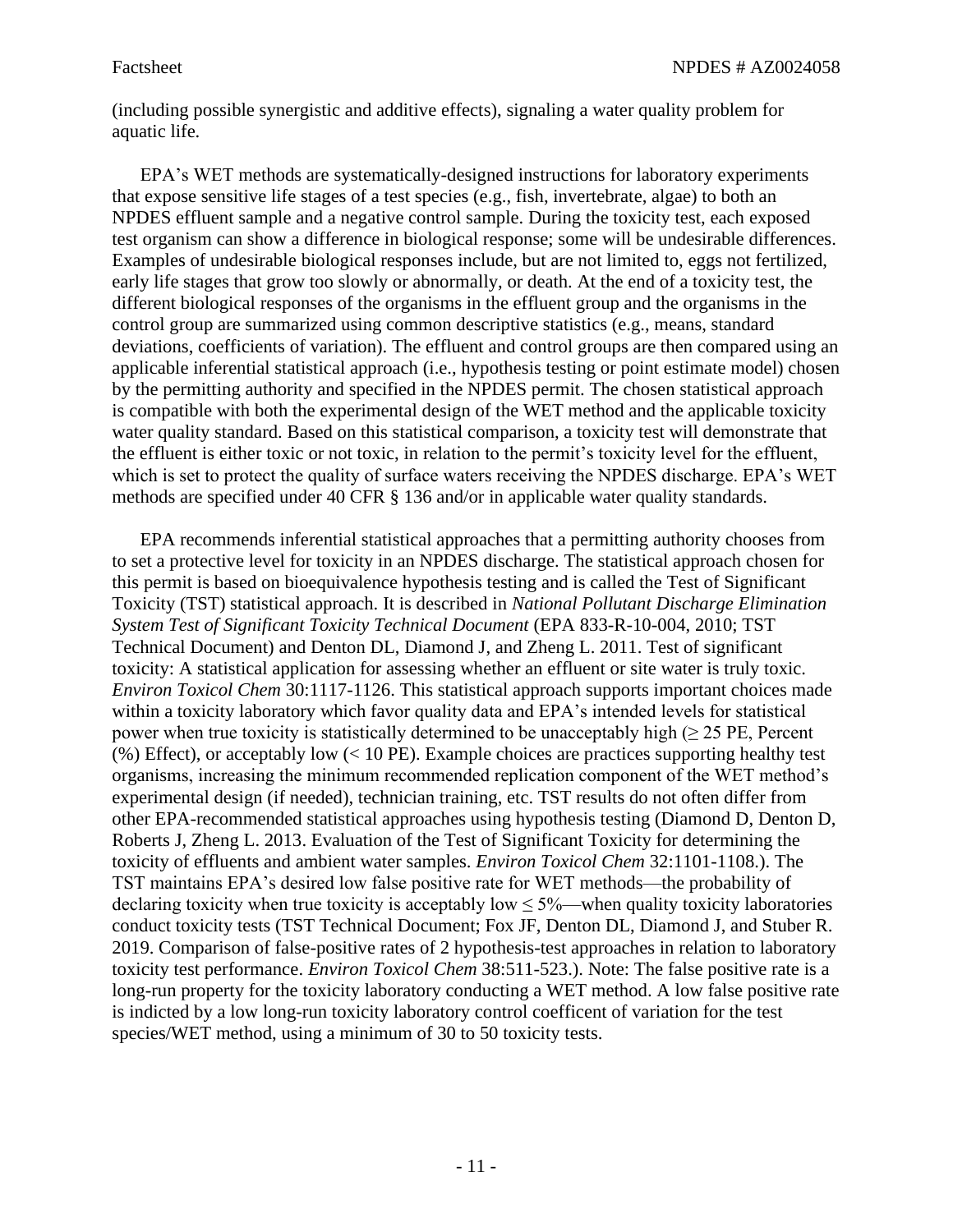(including possible synergistic and additive effects), signaling a water quality problem for aquatic life.

EPA's WET methods are systematically-designed instructions for laboratory experiments that expose sensitive life stages of a test species (e.g., fish, invertebrate, algae) to both an NPDES effluent sample and a negative control sample. During the toxicity test, each exposed test organism can show a difference in biological response; some will be undesirable differences. Examples of undesirable biological responses include, but are not limited to, eggs not fertilized, early life stages that grow too slowly or abnormally, or death. At the end of a toxicity test, the different biological responses of the organisms in the effluent group and the organisms in the control group are summarized using common descriptive statistics (e.g., means, standard deviations, coefficients of variation). The effluent and control groups are then compared using an applicable inferential statistical approach (i.e., hypothesis testing or point estimate model) chosen by the permitting authority and specified in the NPDES permit. The chosen statistical approach is compatible with both the experimental design of the WET method and the applicable toxicity water quality standard. Based on this statistical comparison, a toxicity test will demonstrate that the effluent is either toxic or not toxic, in relation to the permit's toxicity level for the effluent, which is set to protect the quality of surface waters receiving the NPDES discharge. EPA's WET methods are specified under 40 CFR § 136 and/or in applicable water quality standards.

EPA recommends inferential statistical approaches that a permitting authority chooses from to set a protective level for toxicity in an NPDES discharge. The statistical approach chosen for this permit is based on bioequivalence hypothesis testing and is called the Test of Significant Toxicity (TST) statistical approach. It is described in *National Pollutant Discharge Elimination System Test of Significant Toxicity Technical Document* (EPA 833-R-10-004, 2010; TST Technical Document) and Denton DL, Diamond J, and Zheng L. 2011. Test of significant toxicity: A statistical application for assessing whether an effluent or site water is truly toxic. *Environ Toxicol Chem* 30:1117-1126. This statistical approach supports important choices made within a toxicity laboratory which favor quality data and EPA's intended levels for statistical power when true toxicity is statistically determined to be unacceptably high ( $\geq$  25 PE, Percent (%) Effect), or acceptably low (< 10 PE). Example choices are practices supporting healthy test organisms, increasing the minimum recommended replication component of the WET method's experimental design (if needed), technician training, etc. TST results do not often differ from other EPA-recommended statistical approaches using hypothesis testing (Diamond D, Denton D, Roberts J, Zheng L. 2013. Evaluation of the Test of Significant Toxicity for determining the toxicity of effluents and ambient water samples. *Environ Toxicol Chem* 32:1101-1108.). The TST maintains EPA's desired low false positive rate for WET methods—the probability of declaring toxicity when true toxicity is acceptably low  $\leq 5\%$ —when quality toxicity laboratories conduct toxicity tests (TST Technical Document; Fox JF, Denton DL, Diamond J, and Stuber R. 2019. Comparison of false-positive rates of 2 hypothesis-test approaches in relation to laboratory toxicity test performance. *Environ Toxicol Chem* 38:511-523.). Note: The false positive rate is a long-run property for the toxicity laboratory conducting a WET method. A low false positive rate is indicted by a low long-run toxicity laboratory control coefficent of variation for the test species/WET method, using a minimum of 30 to 50 toxicity tests.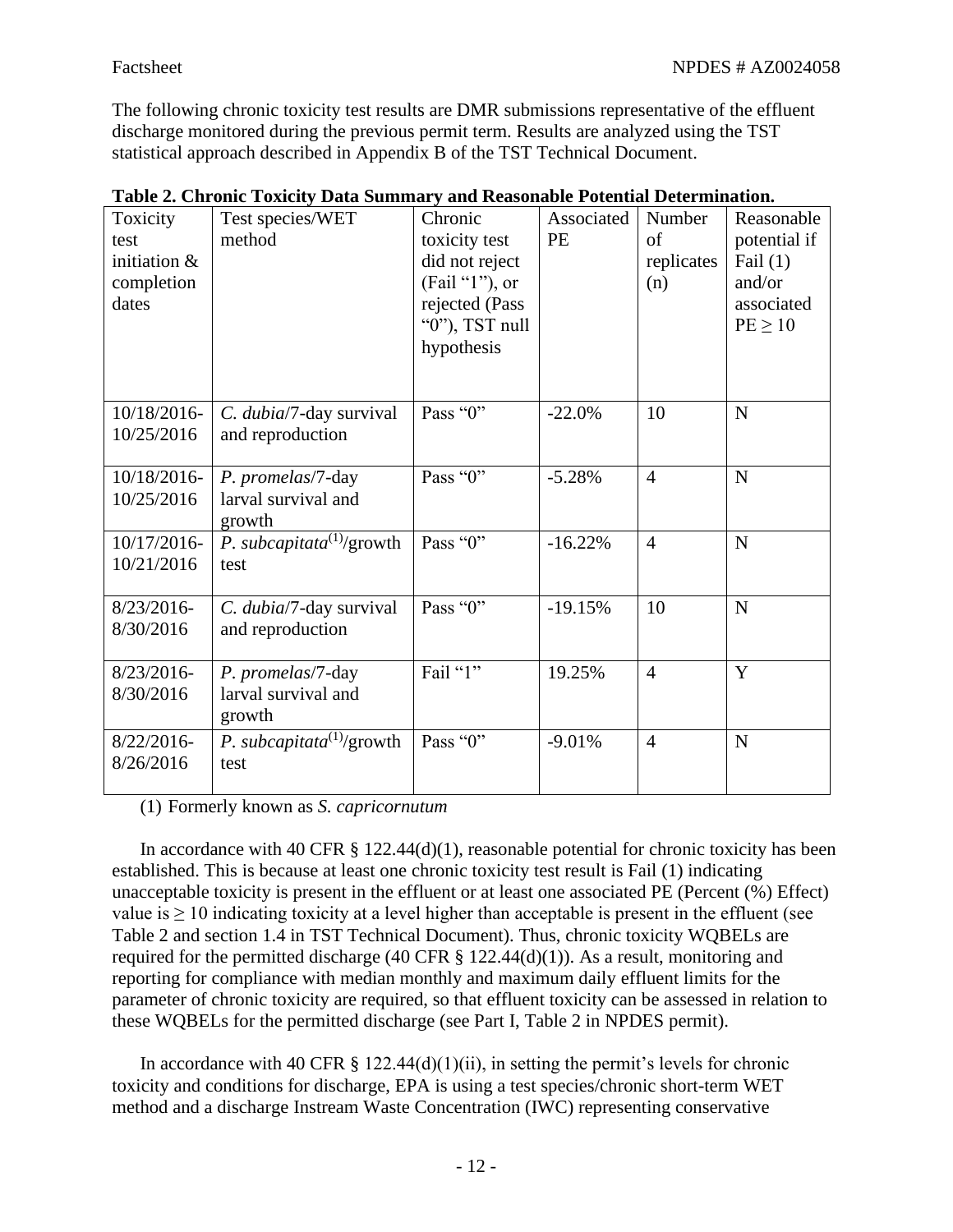The following chronic toxicity test results are DMR submissions representative of the effluent discharge monitored during the previous permit term. Results are analyzed using the TST statistical approach described in Appendix B of the TST Technical Document.

| Toxicity<br>test<br>initiation &<br>completion<br>dates | Test species/WET<br>method                         | Chronic<br>toxicity test<br>did not reject<br>(Fail "1"), or<br>rejected (Pass<br>" $0$ "), TST null<br>hypothesis | Associated<br><b>PE</b> | Number<br>of<br>replicates<br>(n) | Reasonable<br>potential if<br>Fail $(1)$<br>and/or<br>associated<br>$PE \geq 10$ |
|---------------------------------------------------------|----------------------------------------------------|--------------------------------------------------------------------------------------------------------------------|-------------------------|-----------------------------------|----------------------------------------------------------------------------------|
| 10/18/2016<br>10/25/2016                                | C. dubia/7-day survival<br>and reproduction        | Pass "0"                                                                                                           | $-22.0%$                | 10                                | ${\bf N}$                                                                        |
| 10/18/2016-<br>10/25/2016                               | P. promelas/7-day<br>larval survival and<br>growth | Pass "0"                                                                                                           | $-5.28%$                | $\overline{4}$                    | ${\bf N}$                                                                        |
| 10/17/2016-<br>10/21/2016                               | P. subcapitata <sup>(1)</sup> /growth<br>test      | Pass "0"                                                                                                           | $-16.22%$               | $\overline{4}$                    | ${\bf N}$                                                                        |
| $8/23/2016$ -<br>8/30/2016                              | C. dubia/7-day survival<br>and reproduction        | Pass "0"                                                                                                           | $-19.15%$               | 10                                | ${\bf N}$                                                                        |
| 8/23/2016-<br>8/30/2016                                 | P. promelas/7-day<br>larval survival and<br>growth | Fail "1"                                                                                                           | 19.25%                  | $\overline{4}$                    | Y                                                                                |
| $8/22/2016$ -<br>8/26/2016                              | P. subcapitata <sup>(1)</sup> /growth<br>test      | Pass "0"                                                                                                           | $-9.01%$                | $\overline{4}$                    | N                                                                                |

|  |  |  |  | Table 2. Chronic Toxicity Data Summary and Reasonable Potential Determination. |  |
|--|--|--|--|--------------------------------------------------------------------------------|--|
|  |  |  |  |                                                                                |  |

(1) Formerly known as *S. capricornutum*

In accordance with 40 CFR  $\S$  122.44(d)(1), reasonable potential for chronic toxicity has been established. This is because at least one chronic toxicity test result is Fail (1) indicating unacceptable toxicity is present in the effluent or at least one associated PE (Percent (%) Effect) value is  $\geq 10$  indicating toxicity at a level higher than acceptable is present in the effluent (see Table 2 and section 1.4 in TST Technical Document). Thus, chronic toxicity WQBELs are required for the permitted discharge (40 CFR  $\S$  122.44(d)(1)). As a result, monitoring and reporting for compliance with median monthly and maximum daily effluent limits for the parameter of chronic toxicity are required, so that effluent toxicity can be assessed in relation to these WQBELs for the permitted discharge (see Part I, Table 2 in NPDES permit).

In accordance with 40 CFR  $\S$  122.44(d)(1)(ii), in setting the permit's levels for chronic toxicity and conditions for discharge, EPA is using a test species/chronic short-term WET method and a discharge Instream Waste Concentration (IWC) representing conservative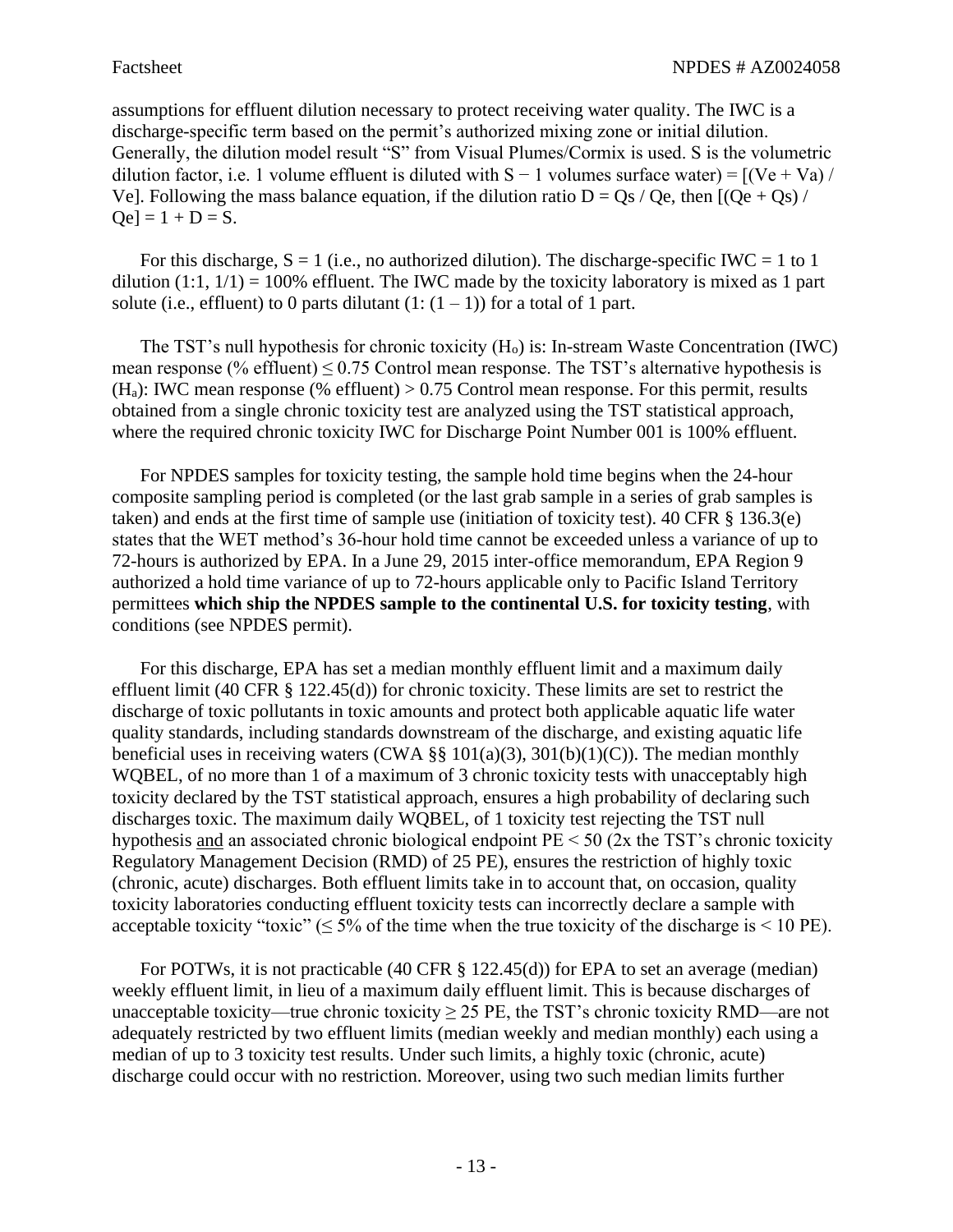assumptions for effluent dilution necessary to protect receiving water quality. The IWC is a discharge-specific term based on the permit's authorized mixing zone or initial dilution. Generally, the dilution model result "S" from Visual Plumes/Cormix is used. S is the volumetric dilution factor, i.e. 1 volume effluent is diluted with  $S - 1$  volumes surface water) =  $[(Ve + Va)/$ Ve]. Following the mass balance equation, if the dilution ratio  $D = Qs / Qe$ , then  $[(Qe + Qs) /$  $Qe$ ] = 1 + D = S.

For this discharge,  $S = 1$  (i.e., no authorized dilution). The discharge-specific IWC = 1 to 1 dilution  $(1:1, 1/1) = 100\%$  effluent. The IWC made by the toxicity laboratory is mixed as 1 part solute (i.e., effluent) to 0 parts dilutant  $(1:(1 – 1))$  for a total of 1 part.

The TST's null hypothesis for chronic toxicity  $(H_0)$  is: In-stream Waste Concentration (IWC) mean response (% effluent)  $\leq 0.75$  Control mean response. The TST's alternative hypothesis is (H<sub>a</sub>): IWC mean response (% effluent)  $> 0.75$  Control mean response. For this permit, results obtained from a single chronic toxicity test are analyzed using the TST statistical approach, where the required chronic toxicity IWC for Discharge Point Number 001 is 100% effluent.

For NPDES samples for toxicity testing, the sample hold time begins when the 24-hour composite sampling period is completed (or the last grab sample in a series of grab samples is taken) and ends at the first time of sample use (initiation of toxicity test). 40 CFR § 136.3(e) states that the WET method's 36-hour hold time cannot be exceeded unless a variance of up to 72-hours is authorized by EPA. In a June 29, 2015 inter-office memorandum, EPA Region 9 authorized a hold time variance of up to 72-hours applicable only to Pacific Island Territory permittees **which ship the NPDES sample to the continental U.S. for toxicity testing**, with conditions (see NPDES permit).

For this discharge, EPA has set a median monthly effluent limit and a maximum daily effluent limit (40 CFR § 122.45(d)) for chronic toxicity. These limits are set to restrict the discharge of toxic pollutants in toxic amounts and protect both applicable aquatic life water quality standards, including standards downstream of the discharge, and existing aquatic life beneficial uses in receiving waters (CWA  $\S$ § 101(a)(3), 301(b)(1)(C)). The median monthly WQBEL, of no more than 1 of a maximum of 3 chronic toxicity tests with unacceptably high toxicity declared by the TST statistical approach, ensures a high probability of declaring such discharges toxic. The maximum daily WQBEL, of 1 toxicity test rejecting the TST null hypothesis and an associated chronic biological endpoint  $PE < 50$  (2x the TST's chronic toxicity Regulatory Management Decision (RMD) of 25 PE), ensures the restriction of highly toxic (chronic, acute) discharges. Both effluent limits take in to account that, on occasion, quality toxicity laboratories conducting effluent toxicity tests can incorrectly declare a sample with acceptable toxicity "toxic" ( $\leq$  5% of the time when the true toxicity of the discharge is  $\leq$  10 PE).

For POTWs, it is not practicable (40 CFR § 122.45(d)) for EPA to set an average (median) weekly effluent limit, in lieu of a maximum daily effluent limit. This is because discharges of unacceptable toxicity—true chronic toxicity  $\geq$  25 PE, the TST's chronic toxicity RMD—are not adequately restricted by two effluent limits (median weekly and median monthly) each using a median of up to 3 toxicity test results. Under such limits, a highly toxic (chronic, acute) discharge could occur with no restriction. Moreover, using two such median limits further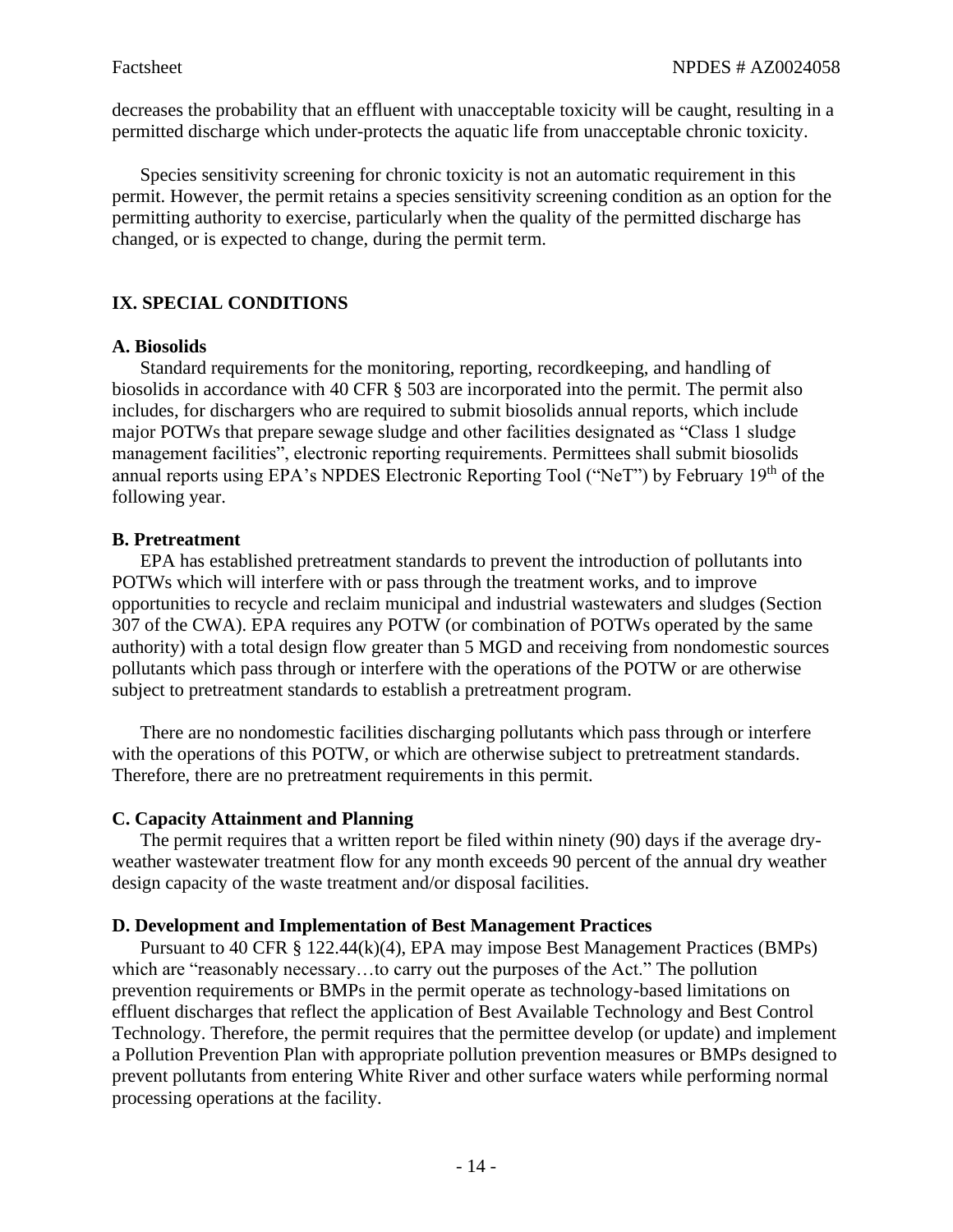decreases the probability that an effluent with unacceptable toxicity will be caught, resulting in a permitted discharge which under-protects the aquatic life from unacceptable chronic toxicity.

Species sensitivity screening for chronic toxicity is not an automatic requirement in this permit. However, the permit retains a species sensitivity screening condition as an option for the permitting authority to exercise, particularly when the quality of the permitted discharge has changed, or is expected to change, during the permit term.

# **IX. SPECIAL CONDITIONS**

## **A. Biosolids**

Standard requirements for the monitoring, reporting, recordkeeping, and handling of biosolids in accordance with 40 CFR § 503 are incorporated into the permit. The permit also includes, for dischargers who are required to submit biosolids annual reports, which include major POTWs that prepare sewage sludge and other facilities designated as "Class 1 sludge management facilities", electronic reporting requirements. Permittees shall submit biosolids annual reports using EPA's NPDES Electronic Reporting Tool ("NeT") by February 19<sup>th</sup> of the following year.

## **B. Pretreatment**

EPA has established pretreatment standards to prevent the introduction of pollutants into POTWs which will interfere with or pass through the treatment works, and to improve opportunities to recycle and reclaim municipal and industrial wastewaters and sludges (Section 307 of the CWA). EPA requires any POTW (or combination of POTWs operated by the same authority) with a total design flow greater than 5 MGD and receiving from nondomestic sources pollutants which pass through or interfere with the operations of the POTW or are otherwise subject to pretreatment standards to establish a pretreatment program.

There are no nondomestic facilities discharging pollutants which pass through or interfere with the operations of this POTW, or which are otherwise subject to pretreatment standards. Therefore, there are no pretreatment requirements in this permit.

#### **C. Capacity Attainment and Planning**

The permit requires that a written report be filed within ninety (90) days if the average dryweather wastewater treatment flow for any month exceeds 90 percent of the annual dry weather design capacity of the waste treatment and/or disposal facilities.

#### **D. Development and Implementation of Best Management Practices**

Pursuant to 40 CFR § 122.44(k)(4), EPA may impose Best Management Practices (BMPs) which are "reasonably necessary…to carry out the purposes of the Act." The pollution prevention requirements or BMPs in the permit operate as technology-based limitations on effluent discharges that reflect the application of Best Available Technology and Best Control Technology. Therefore, the permit requires that the permittee develop (or update) and implement a Pollution Prevention Plan with appropriate pollution prevention measures or BMPs designed to prevent pollutants from entering White River and other surface waters while performing normal processing operations at the facility.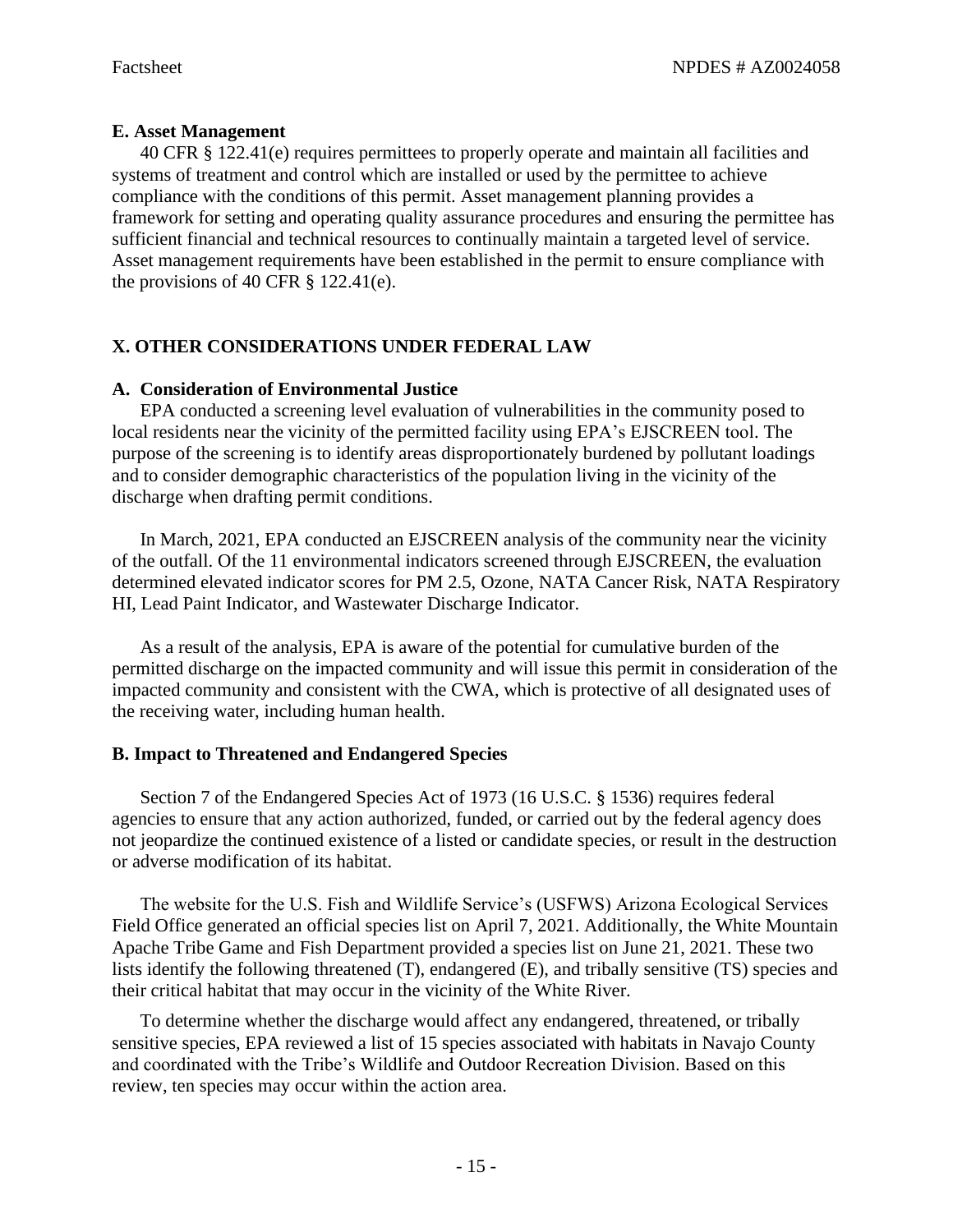# **E. Asset Management**

40 CFR § 122.41(e) requires permittees to properly operate and maintain all facilities and systems of treatment and control which are installed or used by the permittee to achieve compliance with the conditions of this permit. Asset management planning provides a framework for setting and operating quality assurance procedures and ensuring the permittee has sufficient financial and technical resources to continually maintain a targeted level of service. Asset management requirements have been established in the permit to ensure compliance with the provisions of 40 CFR  $\S$  122.41(e).

# **X. OTHER CONSIDERATIONS UNDER FEDERAL LAW**

## **A. Consideration of Environmental Justice**

EPA conducted a screening level evaluation of vulnerabilities in the community posed to local residents near the vicinity of the permitted facility using EPA's EJSCREEN tool. The purpose of the screening is to identify areas disproportionately burdened by pollutant loadings and to consider demographic characteristics of the population living in the vicinity of the discharge when drafting permit conditions.

In March, 2021, EPA conducted an EJSCREEN analysis of the community near the vicinity of the outfall. Of the 11 environmental indicators screened through EJSCREEN, the evaluation determined elevated indicator scores for PM 2.5, Ozone, NATA Cancer Risk, NATA Respiratory HI, Lead Paint Indicator, and Wastewater Discharge Indicator.

As a result of the analysis, EPA is aware of the potential for cumulative burden of the permitted discharge on the impacted community and will issue this permit in consideration of the impacted community and consistent with the CWA, which is protective of all designated uses of the receiving water, including human health.

# **B. Impact to Threatened and Endangered Species**

Section 7 of the Endangered Species Act of 1973 (16 U.S.C. § 1536) requires federal agencies to ensure that any action authorized, funded, or carried out by the federal agency does not jeopardize the continued existence of a listed or candidate species, or result in the destruction or adverse modification of its habitat.

The website for the U.S. Fish and Wildlife Service's (USFWS) Arizona Ecological Services Field Office generated an official species list on April 7, 2021. Additionally, the White Mountain Apache Tribe Game and Fish Department provided a species list on June 21, 2021. These two lists identify the following threatened (T), endangered (E), and tribally sensitive (TS) species and their critical habitat that may occur in the vicinity of the White River.

To determine whether the discharge would affect any endangered, threatened, or tribally sensitive species, EPA reviewed a list of 15 species associated with habitats in Navajo County and coordinated with the Tribe's Wildlife and Outdoor Recreation Division. Based on this review, ten species may occur within the action area.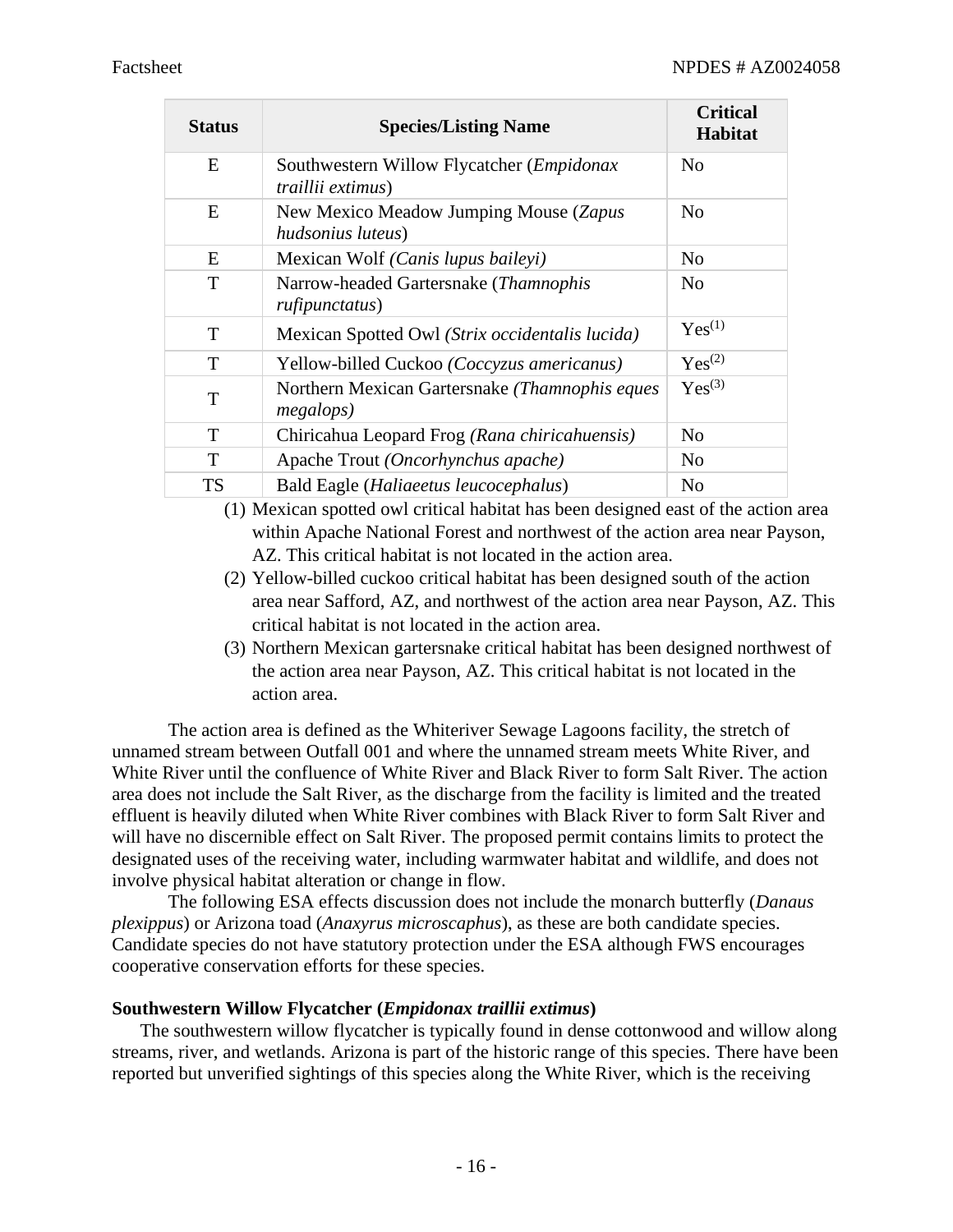| <b>Status</b> | <b>Species/Listing Name</b>                                            | <b>Critical</b><br><b>Habitat</b> |
|---------------|------------------------------------------------------------------------|-----------------------------------|
| E             | Southwestern Willow Flycatcher ( <i>Empidonax</i><br>traillii extimus) | N <sub>0</sub>                    |
| E             | New Mexico Meadow Jumping Mouse (Zapus<br>hudsonius luteus)            | N <sub>0</sub>                    |
| E             | Mexican Wolf (Canis lupus baileyi)                                     | N <sub>0</sub>                    |
| T             | Narrow-headed Gartersnake (Thamnophis<br>rufipunctatus)                | N <sub>0</sub>                    |
| T             | Mexican Spotted Owl (Strix occidentalis lucida)                        | $Yes^{(1)}$                       |
| T             | Yellow-billed Cuckoo (Coccyzus americanus)                             | $Yes^{(2)}$                       |
| T             | Northern Mexican Gartersnake (Thamnophis eques<br><i>megalops</i> )    | $Yes^{(3)}$                       |
| T             | Chiricahua Leopard Frog (Rana chiricahuensis)                          | N <sub>0</sub>                    |
| T             | Apache Trout (Oncorhynchus apache)                                     | N <sub>0</sub>                    |
| <b>TS</b>     | Bald Eagle (Haliaeetus leucocephalus)                                  | N <sub>o</sub>                    |

(1) Mexican spotted owl critical habitat has been designed east of the action area within Apache National Forest and northwest of the action area near Payson, AZ. This critical habitat is not located in the action area.

- (2) Yellow-billed cuckoo critical habitat has been designed south of the action area near Safford, AZ, and northwest of the action area near Payson, AZ. This critical habitat is not located in the action area.
- (3) Northern Mexican gartersnake critical habitat has been designed northwest of the action area near Payson, AZ. This critical habitat is not located in the action area.

The action area is defined as the Whiteriver Sewage Lagoons facility, the stretch of unnamed stream between Outfall 001 and where the unnamed stream meets White River, and White River until the confluence of White River and Black River to form Salt River. The action area does not include the Salt River, as the discharge from the facility is limited and the treated effluent is heavily diluted when White River combines with Black River to form Salt River and will have no discernible effect on Salt River. The proposed permit contains limits to protect the designated uses of the receiving water, including warmwater habitat and wildlife, and does not involve physical habitat alteration or change in flow.

The following ESA effects discussion does not include the monarch butterfly (*Danaus plexippus*) or Arizona toad (*Anaxyrus microscaphus*), as these are both candidate species. Candidate species do not have statutory protection under the ESA although FWS encourages cooperative conservation efforts for these species.

#### **Southwestern Willow Flycatcher (***Empidonax traillii extimus***)**

The southwestern willow flycatcher is typically found in dense cottonwood and willow along streams, river, and wetlands. Arizona is part of the historic range of this species. There have been reported but unverified sightings of this species along the White River, which is the receiving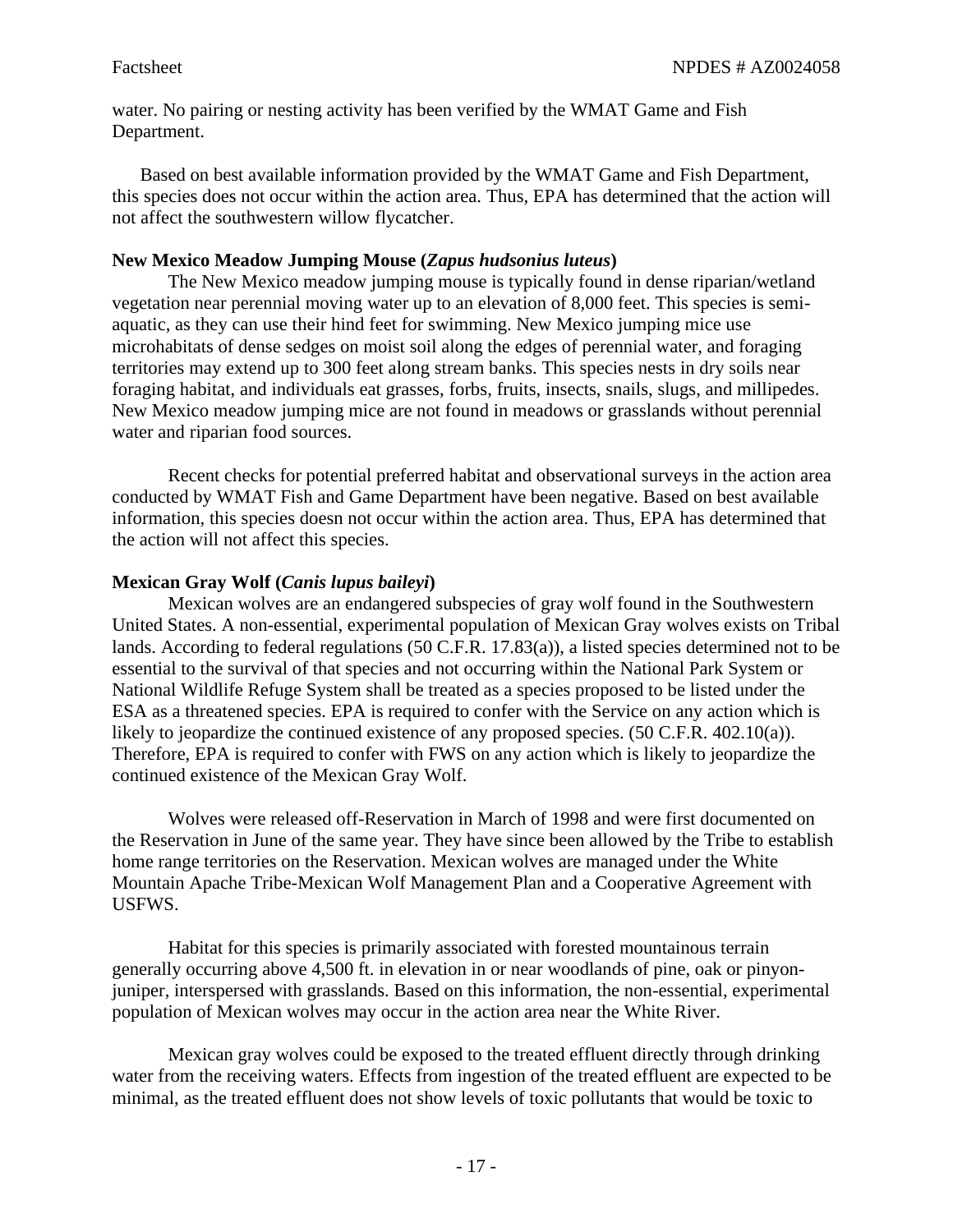water. No pairing or nesting activity has been verified by the WMAT Game and Fish Department.

Based on best available information provided by the WMAT Game and Fish Department, this species does not occur within the action area. Thus, EPA has determined that the action will not affect the southwestern willow flycatcher.

## **New Mexico Meadow Jumping Mouse (***Zapus hudsonius luteus***)**

The New Mexico meadow jumping mouse is typically found in dense riparian/wetland vegetation near perennial moving water up to an elevation of 8,000 feet. This species is semiaquatic, as they can use their hind feet for swimming. New Mexico jumping mice use microhabitats of dense sedges on moist soil along the edges of perennial water, and foraging territories may extend up to 300 feet along stream banks. This species nests in dry soils near foraging habitat, and individuals eat grasses, forbs, fruits, insects, snails, slugs, and millipedes. New Mexico meadow jumping mice are not found in meadows or grasslands without perennial water and riparian food sources.

Recent checks for potential preferred habitat and observational surveys in the action area conducted by WMAT Fish and Game Department have been negative. Based on best available information, this species doesn not occur within the action area. Thus, EPA has determined that the action will not affect this species.

# **Mexican Gray Wolf (***Canis lupus baileyi***)**

Mexican wolves are an endangered subspecies of gray wolf found in the Southwestern United States. A non-essential, experimental population of Mexican Gray wolves exists on Tribal lands. According to federal regulations (50 C.F.R. 17.83(a)), a listed species determined not to be essential to the survival of that species and not occurring within the National Park System or National Wildlife Refuge System shall be treated as a species proposed to be listed under the ESA as a threatened species. EPA is required to confer with the Service on any action which is likely to jeopardize the continued existence of any proposed species. (50 C.F.R. 402.10(a)). Therefore, EPA is required to confer with FWS on any action which is likely to jeopardize the continued existence of the Mexican Gray Wolf.

Wolves were released off-Reservation in March of 1998 and were first documented on the Reservation in June of the same year. They have since been allowed by the Tribe to establish home range territories on the Reservation. Mexican wolves are managed under the White Mountain Apache Tribe-Mexican Wolf Management Plan and a Cooperative Agreement with USFWS.

Habitat for this species is primarily associated with forested mountainous terrain generally occurring above 4,500 ft. in elevation in or near woodlands of pine, oak or pinyonjuniper, interspersed with grasslands. Based on this information, the non-essential, experimental population of Mexican wolves may occur in the action area near the White River.

Mexican gray wolves could be exposed to the treated effluent directly through drinking water from the receiving waters. Effects from ingestion of the treated effluent are expected to be minimal, as the treated effluent does not show levels of toxic pollutants that would be toxic to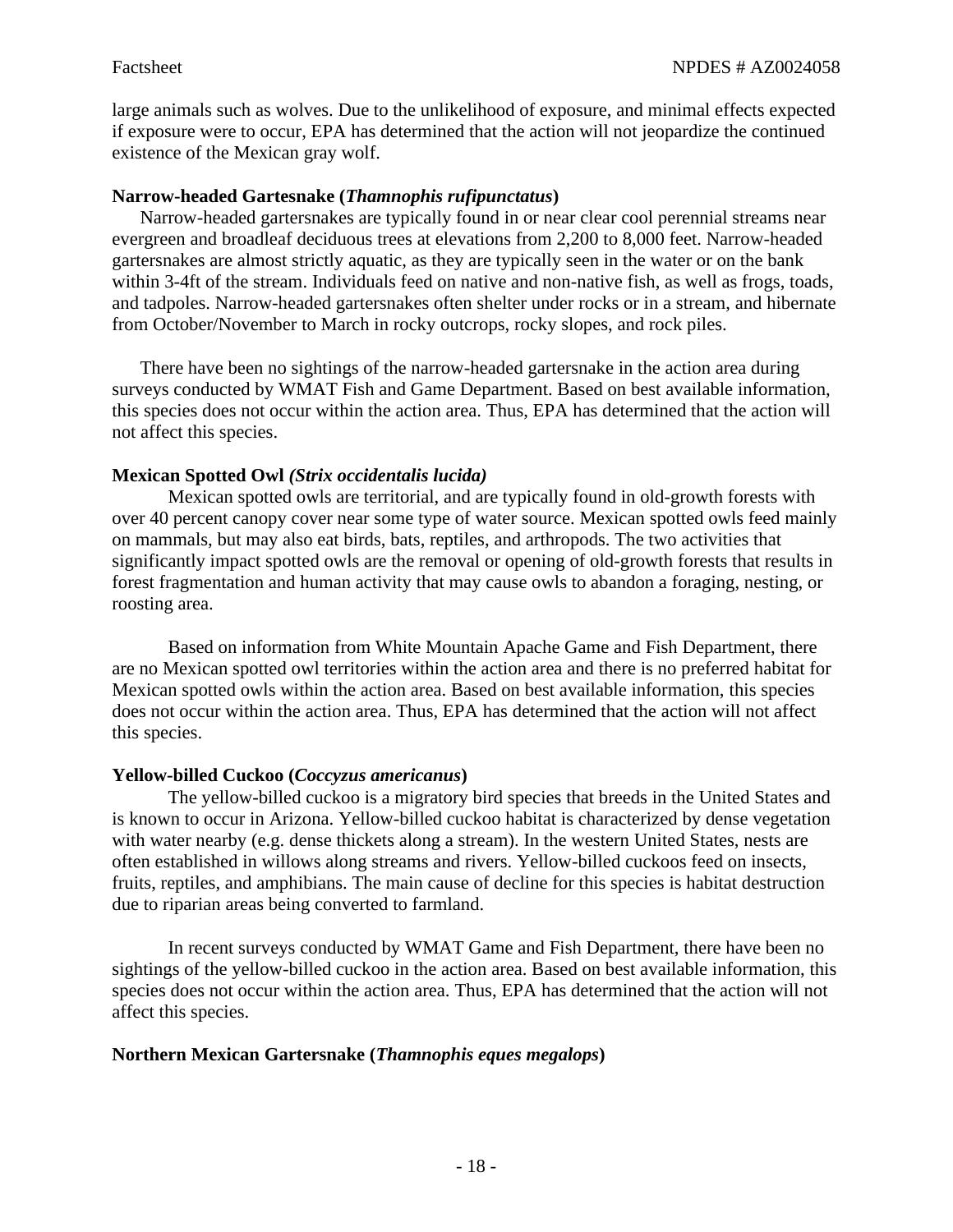large animals such as wolves. Due to the unlikelihood of exposure, and minimal effects expected if exposure were to occur, EPA has determined that the action will not jeopardize the continued existence of the Mexican gray wolf.

#### **Narrow-headed Gartesnake (***Thamnophis rufipunctatus***)**

Narrow-headed gartersnakes are typically found in or near clear cool perennial streams near evergreen and broadleaf deciduous trees at elevations from 2,200 to 8,000 feet. Narrow-headed gartersnakes are almost strictly aquatic, as they are typically seen in the water or on the bank within 3-4ft of the stream. Individuals feed on native and non-native fish, as well as frogs, toads, and tadpoles. Narrow-headed gartersnakes often shelter under rocks or in a stream, and hibernate from October/November to March in rocky outcrops, rocky slopes, and rock piles.

There have been no sightings of the narrow-headed gartersnake in the action area during surveys conducted by WMAT Fish and Game Department. Based on best available information, this species does not occur within the action area. Thus, EPA has determined that the action will not affect this species.

## **Mexican Spotted Owl** *(Strix occidentalis lucida)*

Mexican spotted owls are territorial, and are typically found in old-growth forests with over 40 percent canopy cover near some type of water source. Mexican spotted owls feed mainly on mammals, but may also eat birds, bats, reptiles, and arthropods. The two activities that significantly impact spotted owls are the removal or opening of old-growth forests that results in forest fragmentation and human activity that may cause owls to abandon a foraging, nesting, or roosting area.

Based on information from White Mountain Apache Game and Fish Department, there are no Mexican spotted owl territories within the action area and there is no preferred habitat for Mexican spotted owls within the action area. Based on best available information, this species does not occur within the action area. Thus, EPA has determined that the action will not affect this species.

#### **Yellow-billed Cuckoo (***Coccyzus americanus***)**

The yellow-billed cuckoo is a migratory bird species that breeds in the United States and is known to occur in Arizona. Yellow-billed cuckoo habitat is characterized by dense vegetation with water nearby (e.g. dense thickets along a stream). In the western United States, nests are often established in willows along streams and rivers. Yellow-billed cuckoos feed on insects, fruits, reptiles, and amphibians. The main cause of decline for this species is habitat destruction due to riparian areas being converted to farmland.

In recent surveys conducted by WMAT Game and Fish Department, there have been no sightings of the yellow-billed cuckoo in the action area. Based on best available information, this species does not occur within the action area. Thus, EPA has determined that the action will not affect this species.

#### **Northern Mexican Gartersnake (***Thamnophis eques megalops***)**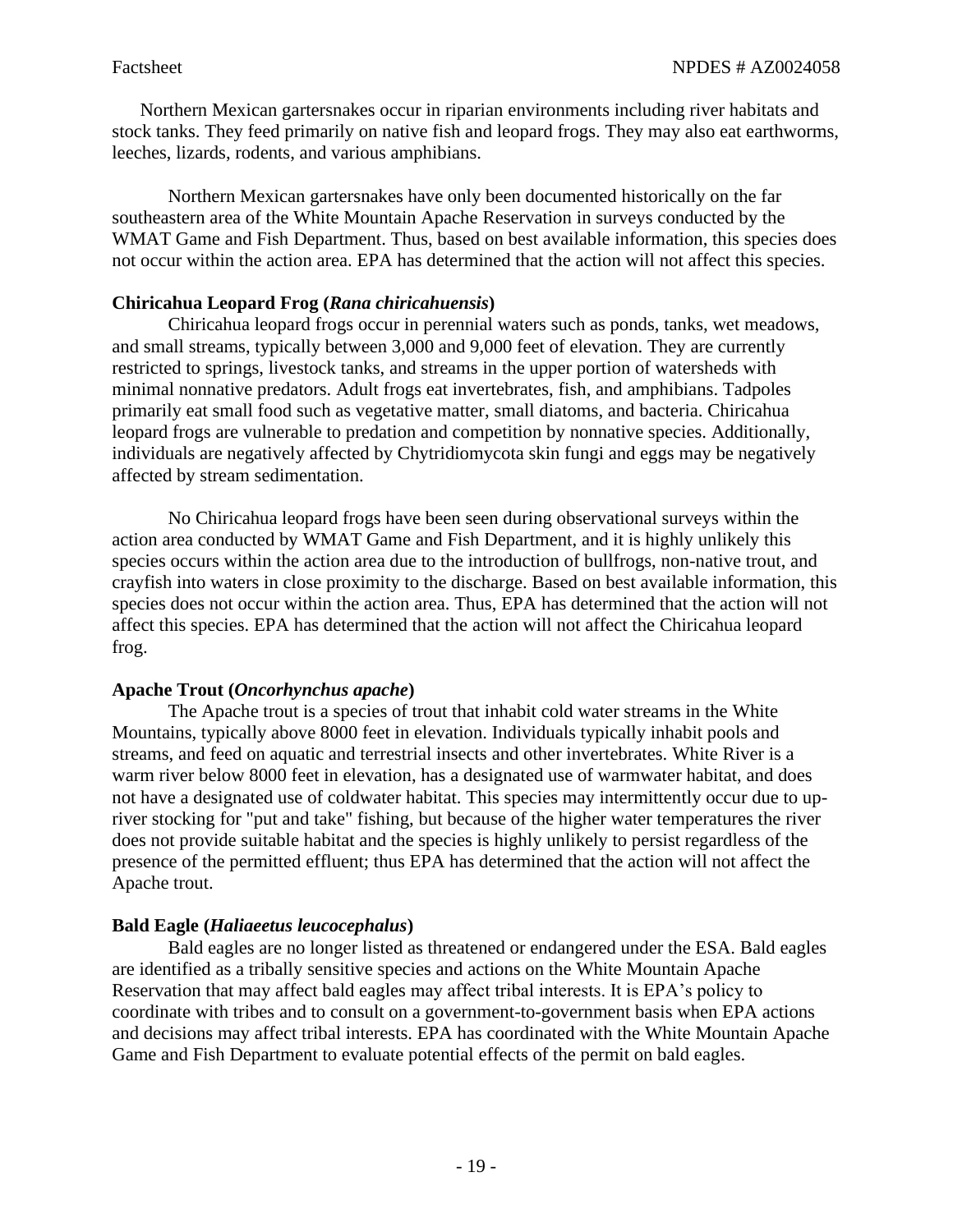Northern Mexican gartersnakes occur in riparian environments including river habitats and stock tanks. They feed primarily on native fish and leopard frogs. They may also eat earthworms, leeches, lizards, rodents, and various amphibians.

Northern Mexican gartersnakes have only been documented historically on the far southeastern area of the White Mountain Apache Reservation in surveys conducted by the WMAT Game and Fish Department. Thus, based on best available information, this species does not occur within the action area. EPA has determined that the action will not affect this species.

## **Chiricahua Leopard Frog (***Rana chiricahuensis***)**

Chiricahua leopard frogs occur in perennial waters such as ponds, tanks, wet meadows, and small streams, typically between 3,000 and 9,000 feet of elevation. They are currently restricted to springs, livestock tanks, and streams in the upper portion of watersheds with minimal nonnative predators. Adult frogs eat invertebrates, fish, and amphibians. Tadpoles primarily eat small food such as vegetative matter, small diatoms, and bacteria. Chiricahua leopard frogs are vulnerable to predation and competition by nonnative species. Additionally, individuals are negatively affected by Chytridiomycota skin fungi and eggs may be negatively affected by stream sedimentation.

No Chiricahua leopard frogs have been seen during observational surveys within the action area conducted by WMAT Game and Fish Department, and it is highly unlikely this species occurs within the action area due to the introduction of bullfrogs, non-native trout, and crayfish into waters in close proximity to the discharge. Based on best available information, this species does not occur within the action area. Thus, EPA has determined that the action will not affect this species. EPA has determined that the action will not affect the Chiricahua leopard frog.

#### **Apache Trout (***Oncorhynchus apache***)**

The Apache trout is a species of trout that inhabit cold water streams in the White Mountains, typically above 8000 feet in elevation. Individuals typically inhabit pools and streams, and feed on aquatic and terrestrial insects and other invertebrates. White River is a warm river below 8000 feet in elevation, has a designated use of warmwater habitat, and does not have a designated use of coldwater habitat. This species may intermittently occur due to upriver stocking for "put and take" fishing, but because of the higher water temperatures the river does not provide suitable habitat and the species is highly unlikely to persist regardless of the presence of the permitted effluent; thus EPA has determined that the action will not affect the Apache trout.

# **Bald Eagle (***Haliaeetus leucocephalus***)**

Bald eagles are no longer listed as threatened or endangered under the ESA. Bald eagles are identified as a tribally sensitive species and actions on the White Mountain Apache Reservation that may affect bald eagles may affect tribal interests. It is EPA's policy to coordinate with tribes and to consult on a government-to-government basis when EPA actions and decisions may affect tribal interests. EPA has coordinated with the White Mountain Apache Game and Fish Department to evaluate potential effects of the permit on bald eagles.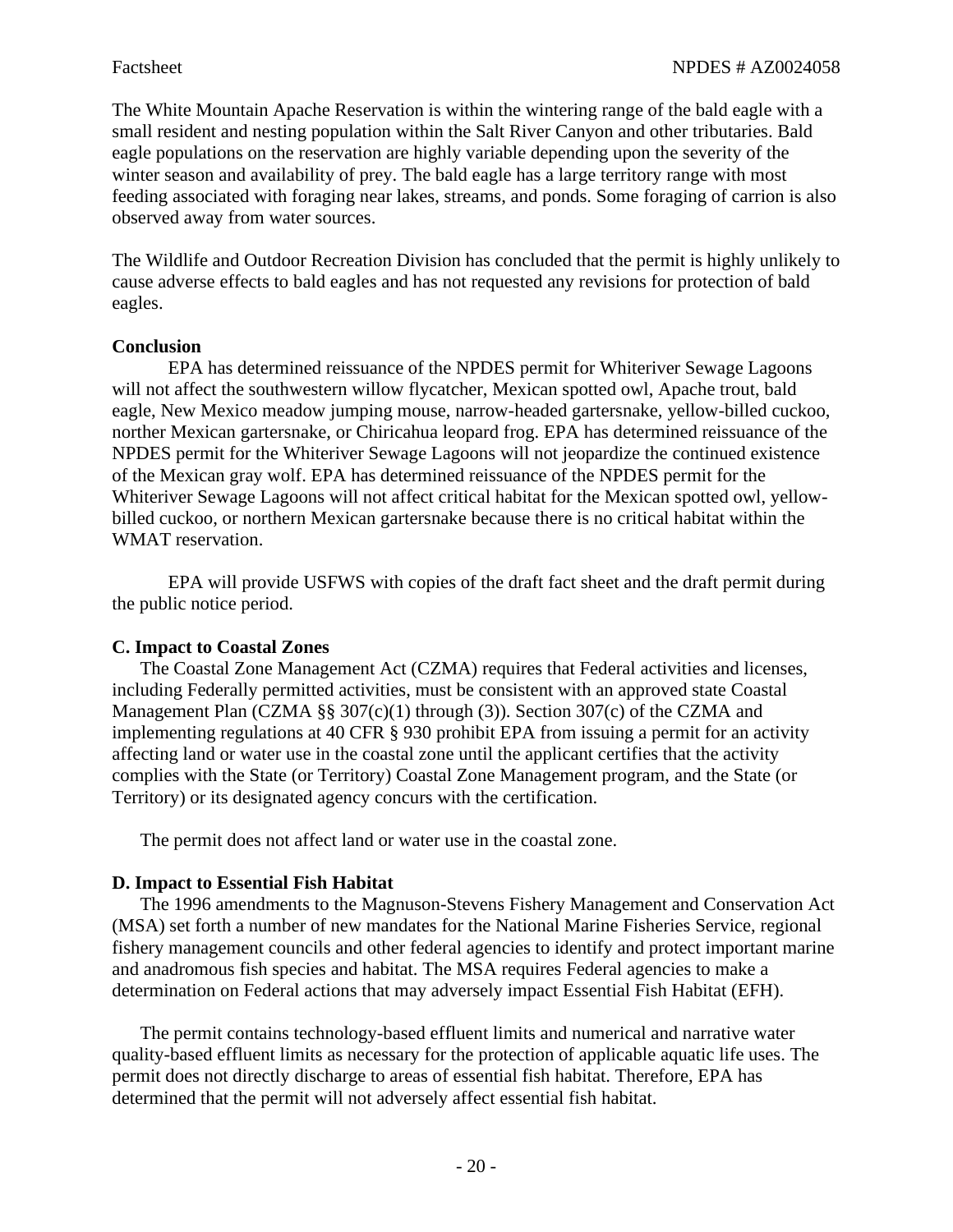The White Mountain Apache Reservation is within the wintering range of the bald eagle with a small resident and nesting population within the Salt River Canyon and other tributaries. Bald eagle populations on the reservation are highly variable depending upon the severity of the winter season and availability of prey. The bald eagle has a large territory range with most feeding associated with foraging near lakes, streams, and ponds. Some foraging of carrion is also observed away from water sources.

The Wildlife and Outdoor Recreation Division has concluded that the permit is highly unlikely to cause adverse effects to bald eagles and has not requested any revisions for protection of bald eagles.

#### **Conclusion**

EPA has determined reissuance of the NPDES permit for Whiteriver Sewage Lagoons will not affect the southwestern willow flycatcher, Mexican spotted owl, Apache trout, bald eagle, New Mexico meadow jumping mouse, narrow-headed gartersnake, yellow-billed cuckoo, norther Mexican gartersnake, or Chiricahua leopard frog. EPA has determined reissuance of the NPDES permit for the Whiteriver Sewage Lagoons will not jeopardize the continued existence of the Mexican gray wolf. EPA has determined reissuance of the NPDES permit for the Whiteriver Sewage Lagoons will not affect critical habitat for the Mexican spotted owl, yellowbilled cuckoo, or northern Mexican gartersnake because there is no critical habitat within the WMAT reservation.

EPA will provide USFWS with copies of the draft fact sheet and the draft permit during the public notice period.

#### **C. Impact to Coastal Zones**

The Coastal Zone Management Act (CZMA) requires that Federal activities and licenses, including Federally permitted activities, must be consistent with an approved state Coastal Management Plan (CZMA  $\S$ § 307(c)(1) through (3)). Section 307(c) of the CZMA and implementing regulations at 40 CFR § 930 prohibit EPA from issuing a permit for an activity affecting land or water use in the coastal zone until the applicant certifies that the activity complies with the State (or Territory) Coastal Zone Management program, and the State (or Territory) or its designated agency concurs with the certification.

The permit does not affect land or water use in the coastal zone.

#### **D. Impact to Essential Fish Habitat**

The 1996 amendments to the Magnuson-Stevens Fishery Management and Conservation Act (MSA) set forth a number of new mandates for the National Marine Fisheries Service, regional fishery management councils and other federal agencies to identify and protect important marine and anadromous fish species and habitat. The MSA requires Federal agencies to make a determination on Federal actions that may adversely impact Essential Fish Habitat (EFH).

The permit contains technology-based effluent limits and numerical and narrative water quality-based effluent limits as necessary for the protection of applicable aquatic life uses. The permit does not directly discharge to areas of essential fish habitat. Therefore, EPA has determined that the permit will not adversely affect essential fish habitat.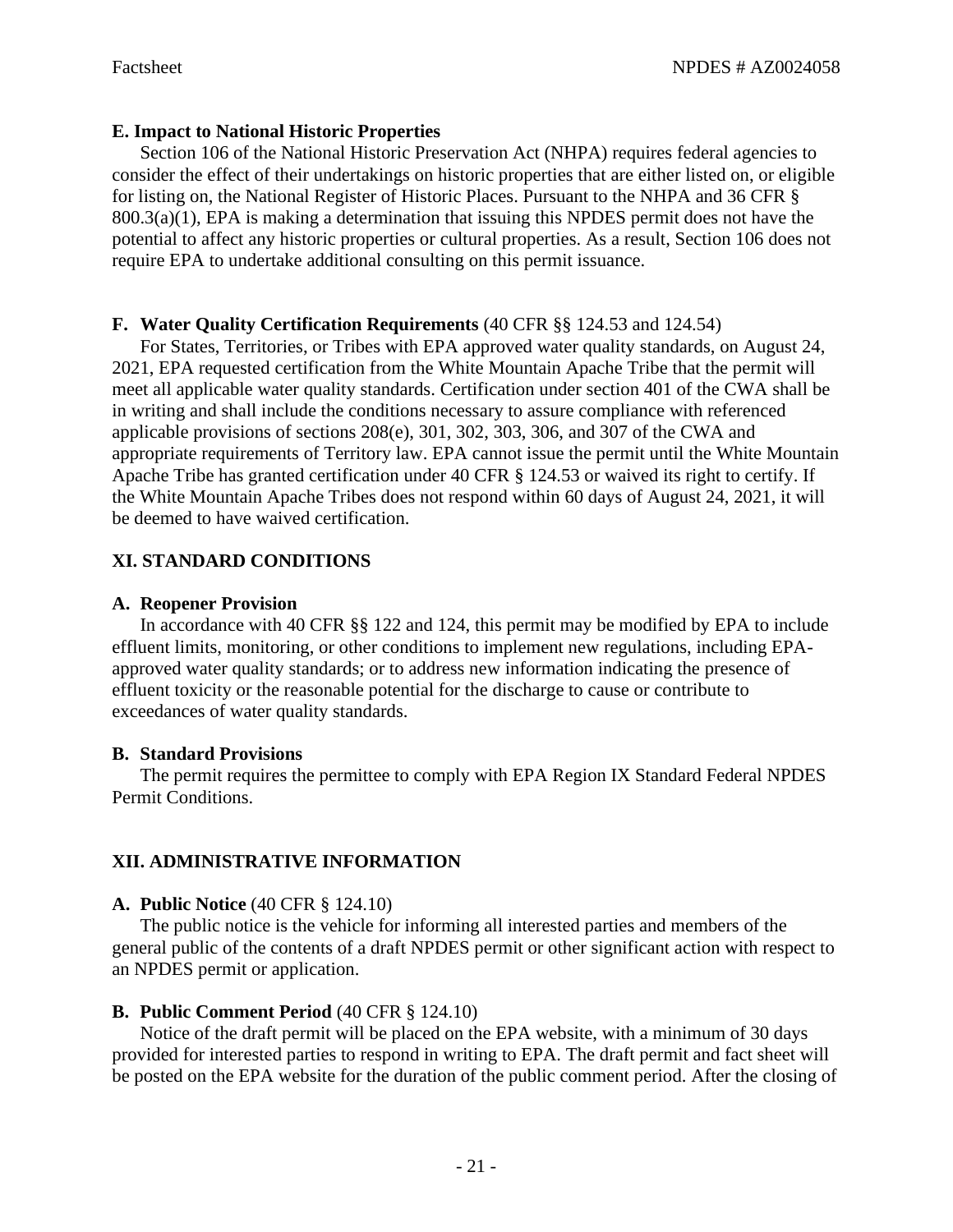# **E. Impact to National Historic Properties**

Section 106 of the National Historic Preservation Act (NHPA) requires federal agencies to consider the effect of their undertakings on historic properties that are either listed on, or eligible for listing on, the National Register of Historic Places. Pursuant to the NHPA and 36 CFR §  $800.3(a)(1)$ , EPA is making a determination that issuing this NPDES permit does not have the potential to affect any historic properties or cultural properties. As a result, Section 106 does not require EPA to undertake additional consulting on this permit issuance.

# **F. Water Quality Certification Requirements** (40 CFR §§ 124.53 and 124.54)

For States, Territories, or Tribes with EPA approved water quality standards, on August 24, 2021, EPA requested certification from the White Mountain Apache Tribe that the permit will meet all applicable water quality standards. Certification under section 401 of the CWA shall be in writing and shall include the conditions necessary to assure compliance with referenced applicable provisions of sections 208(e), 301, 302, 303, 306, and 307 of the CWA and appropriate requirements of Territory law. EPA cannot issue the permit until the White Mountain Apache Tribe has granted certification under 40 CFR § 124.53 or waived its right to certify. If the White Mountain Apache Tribes does not respond within 60 days of August 24, 2021, it will be deemed to have waived certification.

# **XI. STANDARD CONDITIONS**

# **A. Reopener Provision**

In accordance with 40 CFR §§ 122 and 124, this permit may be modified by EPA to include effluent limits, monitoring, or other conditions to implement new regulations, including EPAapproved water quality standards; or to address new information indicating the presence of effluent toxicity or the reasonable potential for the discharge to cause or contribute to exceedances of water quality standards.

# **B. Standard Provisions**

The permit requires the permittee to comply with EPA Region IX Standard Federal NPDES Permit Conditions.

# **XII. ADMINISTRATIVE INFORMATION**

# **A. Public Notice** (40 CFR § 124.10)

The public notice is the vehicle for informing all interested parties and members of the general public of the contents of a draft NPDES permit or other significant action with respect to an NPDES permit or application.

# **B. Public Comment Period** (40 CFR § 124.10)

Notice of the draft permit will be placed on the EPA website, with a minimum of 30 days provided for interested parties to respond in writing to EPA. The draft permit and fact sheet will be posted on the EPA website for the duration of the public comment period. After the closing of